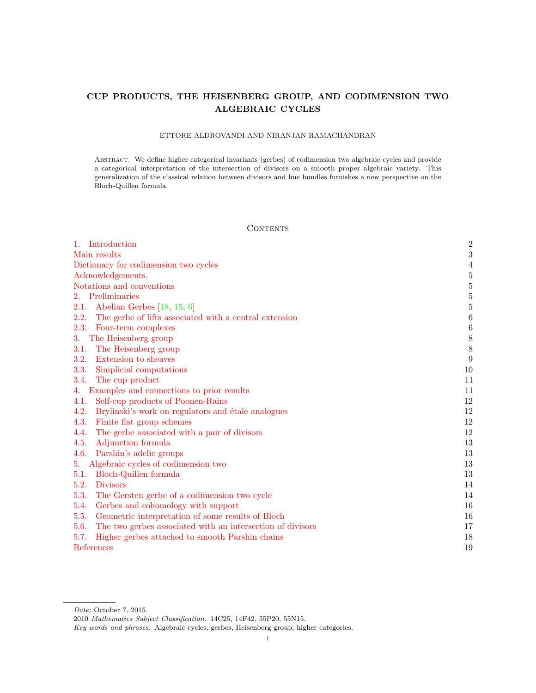# <span id="page-0-0"></span>CUP PRODUCTS, THE HEISENBERG GROUP, AND CODIMENSION TWO ALGEBRAIC CYCLES

# ETTORE ALDROVANDI AND NIRANJAN RAMACHANDRAN

Abstract. We define higher categorical invariants (gerbes) of codimension two algebraic cycles and provide a categorical interpretation of the intersection of divisors on a smooth proper algebraic variety. This generalization of the classical relation between divisors and line bundles furnishes a new perspective on the Bloch-Quillen formula.

# **CONTENTS**

| 1. Introduction                                                    | $\overline{2}$   |
|--------------------------------------------------------------------|------------------|
| Main results                                                       | 3                |
| Dictionary for codimension two cycles                              | $\overline{4}$   |
| Acknowledgements.                                                  | $\overline{5}$   |
| Notations and conventions                                          | $\overline{5}$   |
| 2. Preliminaries                                                   | $\bf 5$          |
| Abelian Gerbes $[18, 15, 6]$<br>2.1.                               | $\overline{5}$   |
| The gerbe of lifts associated with a central extension<br>2.2.     | $\boldsymbol{6}$ |
| 2.3.<br>Four-term complexes                                        | $\boldsymbol{6}$ |
| The Heisenberg group<br>3.                                         | $8\phantom{.0}$  |
| The Heisenberg group<br>3.1.                                       | $8\,$            |
| 3.2.<br>Extension to sheaves                                       | 9                |
| 3.3.<br>Simplicial computations                                    | 10               |
| 3.4.<br>The cup product                                            | 11               |
| Examples and connections to prior results<br>4.                    | 11               |
| Self-cup products of Poonen-Rains<br>4.1.                          | 12               |
| 4.2.<br>Brylinski's work on regulators and étale analogues         | 12               |
| 4.3.<br>Finite flat group schemes                                  | 12               |
| The gerbe associated with a pair of divisors<br>4.4.               | 12               |
| Adjunction formula<br>4.5.                                         | 13               |
| Parshin's adelic groups<br>4.6.                                    | 13               |
| Algebraic cycles of codimension two<br>5.                          | 13               |
| Bloch-Quillen formula<br>5.1.                                      | 13               |
| 5.2.<br><b>Divisors</b>                                            | 14               |
| 5.3.<br>The Gersten gerbe of a codimension two cycle               | 14               |
| Gerbes and cohomology with support<br>5.4.                         | 16               |
| Geometric interpretation of some results of Bloch<br>5.5.          | 16               |
| The two gerbes associated with an intersection of divisors<br>5.6. | 17               |
| 5.7.<br>Higher gerbes attached to smooth Parshin chains            | 18               |
| References                                                         | 19               |

Date: October 7, 2015.

<sup>2010</sup> Mathematics Subject Classification. 14C25, 14F42, 55P20, 55N15.

Key words and phrases. Algebraic cycles, gerbes, Heisenberg group, higher categories.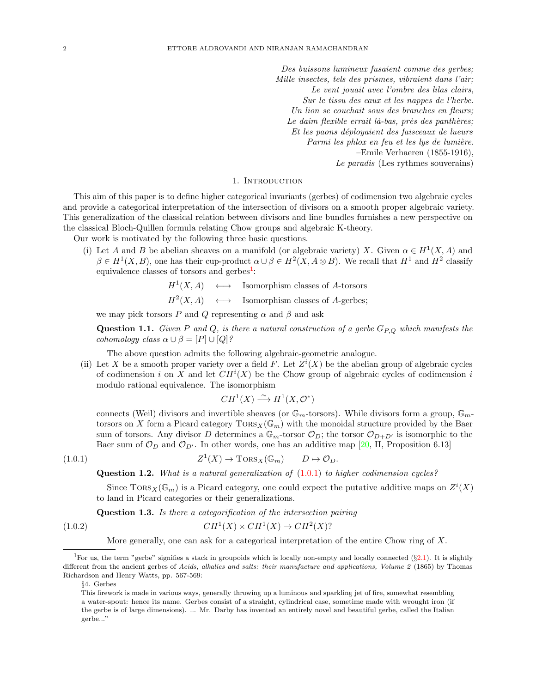Des buissons lumineux fusaient comme des gerbes; Mille insectes, tels des prismes, vibraient dans l'air; Le vent jouait avec l'ombre des lilas clairs, Sur le tissu des eaux et les nappes de l'herbe. Un lion se couchait sous des branches en fleurs; Le daim flexible errait là-bas, près des panthères; Et les paons d´eployaient des faisceaux de lueurs Parmi les phlox en feu et les lys de lumière. –Emile Verhaeren (1855-1916), Le paradis (Les rythmes souverains)

#### 1. INTRODUCTION

<span id="page-1-0"></span>This aim of this paper is to define higher categorical invariants (gerbes) of codimension two algebraic cycles and provide a categorical interpretation of the intersection of divisors on a smooth proper algebraic variety. This generalization of the classical relation between divisors and line bundles furnishes a new perspective on the classical Bloch-Quillen formula relating Chow groups and algebraic K-theory.

Our work is motivated by the following three basic questions.

(i) Let A and B be abelian sheaves on a manifold (or algebraic variety) X. Given  $\alpha \in H^1(X, A)$  and  $\beta \in H^1(X, B)$ , one has their cup-product  $\alpha \cup \beta \in H^2(X, A \otimes B)$ . We recall that  $H^1$  and  $H^2$  classify equivalence classes of torsors and gerbes<sup>[1](#page-1-1)</sup>:

$$
H^1(X, A) \quad \longleftrightarrow \quad \text{Isomorphism classes of } A \text{-torsors}
$$

$$
H^2(X, A) \longleftrightarrow \text{Isomorphism classes of } A\text{-gerbes};
$$

we may pick torsors P and Q representing  $\alpha$  and  $\beta$  and ask

<span id="page-1-3"></span>**Question 1.1.** Given P and Q, is there a natural construction of a gerbe  $G_{P,Q}$  which manifests the cohomology class  $\alpha \cup \beta = [P] \cup [Q]$ ?

The above question admits the following algebraic-geometric analogue.

<span id="page-1-7"></span>(ii) Let X be a smooth proper variety over a field F. Let  $Z^{i}(X)$  be the abelian group of algebraic cycles of codimension i on X and let  $CH^{i}(X)$  be the Chow group of algebraic cycles of codimension i modulo rational equivalence. The isomorphism

$$
CH^1(X) \xrightarrow{\sim} H^1(X, \mathcal{O}^*)
$$

connects (Weil) divisors and invertible sheaves (or  $\mathbb{G}_m$ -torsors). While divisors form a group,  $\mathbb{G}_m$ torsors on X form a Picard category  $TORS_X(\mathbb{G}_m)$  with the monoidal structure provided by the Baer sum of torsors. Any divisor D determines a  $\mathbb{G}_m$ -torsor  $\mathcal{O}_D$ ; the torsor  $\mathcal{O}_{D+D'}$  is isomorphic to the Baer sum of  $\mathcal{O}_D$  and  $\mathcal{O}_{D'}$ . In other words, one has an additive map [\[20,](#page-18-4) II, Proposition 6.13]

 $(1.0.1)$ 

<span id="page-1-6"></span><span id="page-1-2"></span>
$$
Z^1(X) \to \text{Tors}_X(\mathbb{G}_m) \qquad D \mapsto \mathcal{O}_D.
$$

<span id="page-1-4"></span>**Question 1.2.** What is a natural generalization of  $(1.0.1)$  to higher codimension cycles?

Since  $\text{TORS}_X(\mathbb{G}_m)$  is a Picard category, one could expect the putative additive maps on  $Z^i(X)$ to land in Picard categories or their generalizations.

<span id="page-1-5"></span>Question 1.3. Is there a categorification of the intersection pairing

$$
(1.0.2)\qquad \qquad CH^1(X) \times CH^1(X) \to CH^2(X)?
$$

More generally, one can ask for a categorical interpretation of the entire Chow ring of X.

<span id="page-1-1"></span><sup>&</sup>lt;sup>1</sup>For us, the term "gerbe" signifies a stack in groupoids which is locally non-empty and locally connected  $(\S 2.1)$  $(\S 2.1)$ . It is slightly different from the ancient gerbes of Acids, alkalies and salts: their manufacture and applications, Volume 2 (1865) by Thomas Richardson and Henry Watts, pp. 567-569:

<sup>§</sup>4. Gerbes

This firework is made in various ways, generally throwing up a luminous and sparkling jet of fire, somewhat resembling a water-spout: hence its name. Gerbes consist of a straight, cylindrical case, sometime made with wrought iron (if the gerbe is of large dimensions). ... Mr. Darby has invented an entirely novel and beautiful gerbe, called the Italian gerbe..."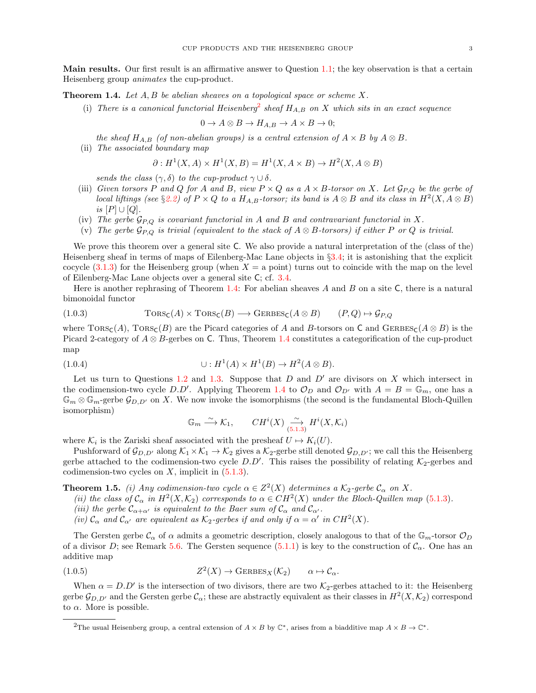<span id="page-2-0"></span>Main results. Our first result is an affirmative answer to Question [1.1;](#page-1-3) the key observation is that a certain Heisenberg group animates the cup-product.

<span id="page-2-2"></span>**Theorem 1.4.** Let  $A, B$  be abelian sheaves on a topological space or scheme X.

(i) There is a canonical functorial Heisenberg<sup>[2](#page-2-1)</sup> sheaf  $H_{A,B}$  on X which sits in an exact sequence

$$
0 \to A \otimes B \to H_{A,B} \to A \times B \to 0;
$$

the sheaf  $H_{A,B}$  (of non-abelian groups) is a central extension of  $A \times B$  by  $A \otimes B$ .

(ii) The associated boundary map

$$
\partial: H^1(X, A) \times H^1(X, B) = H^1(X, A \times B) \to H^2(X, A \otimes B)
$$

sends the class  $(\gamma, \delta)$  to the cup-product  $\gamma \cup \delta$ .

- (iii) Given torsors P and Q for A and B, view  $P \times Q$  as a  $A \times B$ -torsor on X. Let  $\mathcal{G}_{P,Q}$  be the gerbe of local liftings (see §[2.2\)](#page-5-0) of  $P \times Q$  to a  $H_{A,B}$ -torsor; its band is  $A \otimes B$  and its class in  $H^2(X, A \otimes B)$ is  $[P] \cup [Q]$ .
- (iv) The gerbe  $\mathcal{G}_{P,Q}$  is covariant functorial in A and B and contravariant functorial in X.
- (v) The gerbe  $\mathcal{G}_{P,Q}$  is trivial (equivalent to the stack of  $A \otimes B$ -torsors) if either P or Q is trivial.

We prove this theorem over a general site C. We also provide a natural interpretation of the (class of the) Heisenberg sheaf in terms of maps of Eilenberg-Mac Lane objects in §[3.4;](#page-10-0) it is astonishing that the explicit cocycle  $(3.1.3)$  for the Heisenberg group (when  $X = a$  point) turns out to coincide with the map on the level of Eilenberg-Mac Lane objects over a general site C; cf. [3.4.](#page-10-2)

Here is another rephrasing of Theorem [1.4:](#page-2-2) For abelian sheaves A and B on a site C, there is a natural bimonoidal functor

<span id="page-2-5"></span>(1.0.3) 
$$
TORS_{\mathsf{C}}(A) \times TORS_{\mathsf{C}}(B) \longrightarrow GERS_{\mathsf{C}}(A \otimes B) \qquad (P, Q) \mapsto \mathcal{G}_{P,Q}
$$

where  $\text{TORS}_\text{C}(A)$ ,  $\text{TORS}_\text{C}(B)$  are the Picard categories of A and B-torsors on C and  $\text{GERBES}_\text{C}(A \otimes B)$  is the Picard 2-category of  $A \otimes B$ -gerbes on C. Thus, Theorem [1.4](#page-2-2) constitutes a categorification of the cup-product map

$$
(1.0.4) \qquad \qquad \cup: H^1(A) \times H^1(B) \to H^2(A \otimes B).
$$

Let us turn to Questions [1.2](#page-1-4) and [1.3.](#page-1-5) Suppose that  $D$  and  $D'$  are divisors on  $X$  which intersect in the codimension-two cycle D.D'. Applying Theorem [1.4](#page-2-2) to  $\mathcal{O}_D$  and  $\mathcal{O}_{D'}$  with  $A = B = \mathbb{G}_m$ , one has a  $\mathbb{G}_m \otimes \mathbb{G}_m$ -gerbe  $\mathcal{G}_{D,D'}$  on X. We now invoke the isomorphisms (the second is the fundamental Bloch-Quillen isomorphism)

$$
\mathbb{G}_m \xrightarrow{\sim} \mathcal{K}_1, \qquad CH^i(X) \xrightarrow[5.1.3]{} H^i(X, \mathcal{K}_i)
$$

where  $\mathcal{K}_i$  is the Zariski sheaf associated with the presheaf  $U \mapsto K_i(U)$ .

Pushforward of  $\mathcal{G}_{D,D'}$  along  $\mathcal{K}_1 \times \mathcal{K}_1 \to \mathcal{K}_2$  gives a  $\mathcal{K}_2$ -gerbe still denoted  $\mathcal{G}_{D,D'}$ ; we call this the Heisenberg gerbe attached to the codimension-two cycle  $D.D'$ . This raises the possibility of relating  $K_2$ -gerbes and codimension-two cycles on  $X$ , implicit in  $(5.1.3)$ .

<span id="page-2-3"></span>**Theorem 1.5.** (i) Any codimension-two cycle  $\alpha \in Z^2(X)$  determines a  $K_2$ -gerbe  $\mathcal{C}_{\alpha}$  on X.

- (ii) the class of  $\mathcal{C}_{\alpha}$  in  $H^2(X,\mathcal{K}_2)$  corresponds to  $\alpha \in CH^2(X)$  under the Bloch-Quillen map [\(5.1.3\)](#page-12-4).
- (iii) the gerbe  $\mathcal{C}_{\alpha+\alpha'}$  is equivalent to the Baer sum of  $\mathcal{C}_{\alpha}$  and  $\mathcal{C}_{\alpha'}$ .
- <span id="page-2-4"></span>(iv)  $\mathcal{C}_{\alpha}$  and  $\mathcal{C}_{\alpha'}$  are equivalent as  $\mathcal{K}_2$ -gerbes if and only if  $\alpha = \alpha'$  in  $CH^2(X)$ .

The Gersten gerbe  $\mathcal{C}_{\alpha}$  of  $\alpha$  admits a geometric description, closely analogous to that of the  $\mathbb{G}_m$ -torsor  $\mathcal{O}_D$ of a divisor D; see Remark [5.6.](#page-15-2) The Gersten sequence [\(5.1.1\)](#page-12-5) is key to the construction of  $\mathcal{C}_{\alpha}$ . One has an additive map

(1.0.5) 
$$
Z^2(X) \to \text{GERBES}_X(\mathcal{K}_2) \qquad \alpha \mapsto \mathcal{C}_\alpha.
$$

When  $\alpha = D.D'$  is the intersection of two divisors, there are two  $\mathcal{K}_2$ -gerbes attached to it: the Heisenberg gerbe  $\mathcal{G}_{D,D'}$  and the Gersten gerbe  $\mathcal{C}_\alpha$ ; these are abstractly equivalent as their classes in  $H^2(X,\mathcal{K}_2)$  correspond to  $\alpha$ . More is possible.

<span id="page-2-1"></span><sup>&</sup>lt;sup>2</sup>The usual Heisenberg group, a central extension of  $A \times B$  by  $\mathbb{C}^*$ , arises from a biadditive map  $A \times B \to \mathbb{C}^*$ .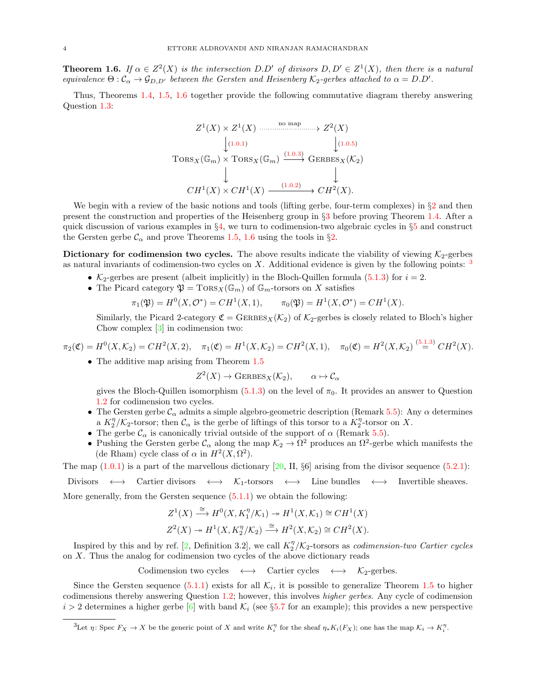<span id="page-3-1"></span>**Theorem 1.6.** If  $\alpha \in Z^2(X)$  is the intersection D.D' of divisors  $D, D' \in Z^1(X)$ , then there is a natural equivalence  $\Theta$ :  $\mathcal{C}_{\alpha} \to \mathcal{G}_{D,D'}$  between the Gersten and Heisenberg K<sub>2</sub>-gerbes attached to  $\alpha = D.D'.$ 

Thus, Theorems [1.4,](#page-2-2) [1.5,](#page-2-3) [1.6](#page-3-1) together provide the following commutative diagram thereby answering Question [1.3:](#page-1-5)

$$
Z^{1}(X) \times Z^{1}(X) \xrightarrow{\text{no map}} Z^{2}(X)
$$
  
\n
$$
\downarrow (1.0.1) \qquad \qquad \downarrow (1.0.5)
$$
  
\n
$$
\text{TORS}_X(\mathbb{G}_m) \times \text{TORS}_X(\mathbb{G}_m) \xrightarrow{(1.0.3)} \text{GERBES}_X(\mathcal{K}_2)
$$
  
\n
$$
\downarrow \qquad \qquad \downarrow
$$
  
\n
$$
CH^{1}(X) \times CH^{1}(X) \xrightarrow{(1.0.2)} \rightarrow CH^{2}(X).
$$

We begin with a review of the basic notions and tools (lifting gerbe, four-term complexes) in  $\S2$  $\S2$  and then present the construction and properties of the Heisenberg group in §[3](#page-7-0) before proving Theorem [1.4.](#page-2-2) After a quick discussion of various examples in §[4,](#page-10-1) we turn to codimension-two algebraic cycles in §[5](#page-12-2) and construct the Gersten gerbe  $\mathcal{C}_{\alpha}$  and prove Theorems [1.5,](#page-2-3) [1.6](#page-3-1) using the tools in §[2.](#page-4-2)

<span id="page-3-0"></span>Dictionary for codimension two cycles. The above results indicate the viability of viewing  $K_2$ -gerbes as natural invariants of codimension-two cycles on X. Additional evidence is given by the following points:  $\frac{3}{2}$  $\frac{3}{2}$  $\frac{3}{2}$ 

- $K_2$ -gerbes are present (albeit implicitly) in the Bloch-Quillen formula [\(5.1.3\)](#page-12-4) for  $i = 2$ .
- The Picard category  $\mathfrak{P} = \text{Tors}_X(\mathbb{G}_m)$  of  $\mathbb{G}_m$ -torsors on X satisfies

$$
\pi_1(\mathfrak{P}) = H^0(X, \mathcal{O}^*) = CH^1(X, 1), \qquad \pi_0(\mathfrak{P}) = H^1(X, \mathcal{O}^*) = CH^1(X).
$$

Similarly, the Picard 2-category  $\mathfrak{C} = \text{GERBES}_X(\mathcal{K}_2)$  of  $\mathcal{K}_2$ -gerbes is closely related to Bloch's higher Chow complex [\[3\]](#page-18-5) in codimension two:

$$
\pi_2(\mathfrak{C}) = H^0(X, \mathcal{K}_2) = CH^2(X, 2), \quad \pi_1(\mathfrak{C}) = H^1(X, \mathcal{K}_2) = CH^2(X, 1), \quad \pi_0(\mathfrak{C}) = H^2(X, \mathcal{K}_2) \stackrel{(5.1.3)}{=} CH^2(X).
$$

• The additive map arising from Theorem [1.5](#page-2-3)

$$
Z^2(X) \to \text{GERBES}_X(\mathcal{K}_2), \qquad \alpha \mapsto \mathcal{C}_\alpha
$$

gives the Bloch-Quillen isomorphism [\(5.1.3\)](#page-12-4) on the level of  $\pi_0$ . It provides an answer to Question [1.2](#page-1-4) for codimension two cycles.

- The Gersten gerbe  $\mathcal{C}_{\alpha}$  admits a simple algebro-geometric description (Remark [5.5\)](#page-14-0): Any  $\alpha$  determines a  $K_2^{\eta}/\mathcal{K}_2$ -torsor; then  $\mathcal{C}_{\alpha}$  is the gerbe of liftings of this torsor to a  $K_2^{\eta}$ -torsor on X.
- The gerbe  $\mathcal{C}_{\alpha}$  is canonically trivial outside of the support of  $\alpha$  (Remark [5.5\)](#page-14-0).
- Pushing the Gersten gerbe  $\mathcal{C}_{\alpha}$  along the map  $\mathcal{K}_{2} \to \Omega^2$  produces an  $\Omega^2$ -gerbe which manifests the (de Rham) cycle class of  $\alpha$  in  $H^2(X, \Omega^2)$ .

The map  $(1.0.1)$  is a part of the marvellous dictionary [\[20,](#page-18-4) II, §6] arising from the divisor sequence  $(5.2.1)$ :

Divisors  $\longleftrightarrow$  Cartier divisors  $\longleftrightarrow$  K<sub>1</sub>-torsors  $\longleftrightarrow$  Line bundles  $\longleftrightarrow$  Invertible sheaves. More generally, from the Gersten sequence [\(5.1.1\)](#page-12-5) we obtain the following:

$$
Z^1(X) \xrightarrow{\cong} H^0(X, K_1^{\eta}/\mathcal{K}_1) \twoheadrightarrow H^1(X, \mathcal{K}_1) \cong CH^1(X)
$$
  

$$
Z^2(X) \twoheadrightarrow H^1(X, K_2^{\eta}/\mathcal{K}_2) \xrightarrow{\cong} H^2(X, \mathcal{K}_2) \cong CH^2(X).
$$

Inspired by this and by ref. [\[2,](#page-18-6) Definition 3.2], we call  $K_2^{\eta}/\mathcal{K}_2$ -torsors as *codimension-two Cartier cycles* on X. Thus the analog for codimension two cycles of the above dictionary reads

Codimension two cycles  $\longleftrightarrow$  Cartier cycles  $\longleftrightarrow$  K<sub>2</sub>-gerbes.

Since the Gersten sequence  $(5.1.1)$  exists for all  $\mathcal{K}_i$ , it is possible to generalize Theorem [1.5](#page-2-3) to higher codimensions thereby answering Question [1.2;](#page-1-4) however, this involves higher gerbes. Any cycle of codimension  $i > 2$  determines a higher gerbe [\[6\]](#page-18-2) with band  $\mathcal{K}_i$  (see §[5.7](#page-17-0) for an example); this provides a new perspective

<span id="page-3-2"></span><sup>&</sup>lt;sup>3</sup>Let  $\eta \colon \text{Spec } F_X \to X$  be the generic point of X and write  $K_i^{\eta}$  for the sheaf  $\eta_* K_i(F_X)$ ; one has the map  $\mathcal{K}_i \to K_i^{\eta}$ .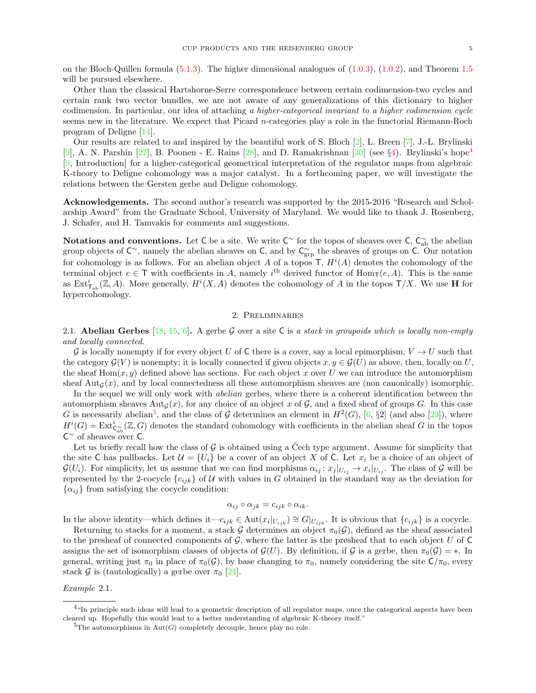on the Bloch-Quillen formula [\(5.1.3\)](#page-12-4). The higher dimensional analogues of [\(1.0.3\)](#page-2-5), [\(1.0.2\)](#page-1-6), and Theorem [1.5](#page-2-3) will be pursued elsewhere.

Other than the classical Hartshorne-Serre correspondence between certain codimension-two cycles and certain rank two vector bundles, we are not aware of any generalizations of this dictionary to higher codimension. In particular, our idea of attaching a higher-categorical invariant to a higher codimension cycle seems new in the literature. We expect that Picard n-categories play a role in the functorial Riemann-Roch program of Deligne [\[14\]](#page-18-7).

Our results are related to and inspired by the beautiful work of S. Bloch  $[2]$ , L. Breen  $[7]$ , J.-L. Brylinski [\[9\]](#page-18-9), A. N. Parshin [\[27\]](#page-18-10), B. Poonen - E. Rains [\[28\]](#page-18-11), and D. Ramakrishnan [\[30\]](#page-19-0) (see §[4\)](#page-10-1). Brylinski's hope<sup>[4](#page-4-4)</sup> [\[9,](#page-18-9) Introduction] for a higher-categorical geometrical interpretation of the regulator maps from algebraic K-theory to Deligne cohomology was a major catalyst. In a forthcoming paper, we will investigate the relations between the Gersten gerbe and Deligne cohomology.

<span id="page-4-0"></span>Acknowledgements. The second author's research was supported by the 2015-2016 "Research and Scholarship Award" from the Graduate School, University of Maryland. We would like to thank J. Rosenberg, J. Schafer, and H. Tamvakis for comments and suggestions.

<span id="page-4-1"></span>Notations and conventions. Let C be a site. We write  $\mathsf{C}^{\sim}$  for the topos of sheaves over  $\mathsf{C},\mathsf{C}_{ab}^{\sim}$  the abelian group objects of  $\mathsf{C}^{\sim}$ , namely the abelian sheaves on  $\mathsf{C}$ , and by  $\mathsf{C}^{\sim}_{\text{grp}}$  the sheaves of groups on  $\mathsf{C}$ . Our notation for cohomology is as follows. For an abelian object A of a topos  $\mathsf{T}$ ,  $H^{i}(A)$  denotes the cohomology of the terminal object  $e \in \mathsf{T}$  with coefficients in A, namely i<sup>th</sup> derived functor of  $\text{Hom}_{\mathsf{T}}(e, A)$ . This is the same as  $\mathrm{Ext}^i_{\mathsf{T}_{\mathrm{ab}}}(\mathbb{Z},A)$ . More generally,  $H^i(X,A)$  denotes the cohomology of A in the topos  $\mathsf{T}/X$ . We use H for hypercohomology.

# 2. Preliminaries

<span id="page-4-3"></span><span id="page-4-2"></span>2.1. Abelian Gerbes [\[18,](#page-18-0) [15,](#page-18-1) [6\]](#page-18-2). A gerbe G over a site C is a stack in groupoids which is locally non-empty and locally connected.

G is locally nonempty if for every object U of C there is a cover, say a local epimorphism,  $V \to U$  such that the category  $\mathcal{G}(V)$  is nonempty; it is locally connected if given objects  $x, y \in \mathcal{G}(U)$  as above, then, locally on U, the sheaf  $\text{Hom}(x, y)$  defined above has sections. For each object x over U we can introduce the automorphism sheaf  $\text{Aut}_G(x)$ , and by local connectedness all these automorphism sheaves are (non canonically) isomorphic.

In the sequel we will only work with *abelian* gerbes, where there is a coherent identification between the automorphism sheaves  $\text{Aut}_G(x)$ , for any choice of an object x of G, and a fixed sheaf of groups G. In this case G is necessarily abelian<sup>[5](#page-4-5)</sup>, and the class of G determines an element in  $H^2(G)$ , [\[6,](#page-18-2) §2] (and also [\[23\]](#page-18-12)), where  $H^{i}(G) = \text{Ext}^{i}_{\mathsf{C}_{\text{ab}}(\mathbb{Z},G)}$  denotes the standard cohomology with coefficients in the abelian sheaf G in the topos  $C^{\sim}$  of sheaves over C.

Let us briefly recall how the class of  $G$  is obtained using a Čech type argument. Assume for simplicity that the site C has pullbacks. Let  $\mathcal{U} = \{U_i\}$  be a cover of an object X of C. Let  $x_i$  be a choice of an object of  $\mathcal{G}(U_i)$ . For simplicity, let us assume that we can find morphisms  $\alpha_{ij}: x_j |_{U_{ij}} \to x_i |_{U_{ij}}$ . The class of G will be represented by the 2-cocycle  ${c_{ijk}}$  of U with values in G obtained in the standard way as the deviation for  $\{\alpha_{ij}\}\$ from satisfying the cocycle condition:

$$
\alpha_{ij}\circ\alpha_{jk}=c_{ijk}\circ\alpha_{ik}.
$$

In the above identity—which defines it— $c_{ijk} \in Aut(x_i|_{U_{ijk}}) \cong G|_{U_{ijk}}$ . It is obvious that  $\{c_{ijk}\}\$ is a cocycle.

Returning to stacks for a moment, a stack G determines an object  $\pi_0(\mathcal{G})$ , defined as the sheaf associated to the presheaf of connected components of  $\mathcal G$ , where the latter is the presheaf that to each object U of C assigns the set of isomorphism classes of objects of  $\mathcal{G}(U)$ . By definition, if G is a gerbe, then  $\pi_0(\mathcal{G}) = *$ . In general, writing just  $\pi_0$  in place of  $\pi_0(\mathcal{G})$ , by base changing to  $\pi_0$ , namely considering the site  $\mathsf{C}/\pi_0$ , every stack G is (tautologically) a gerbe over  $\pi_0$  [\[24\]](#page-18-13).

Example 2.1.

<span id="page-4-4"></span><sup>&</sup>lt;sup>4"</sup>In principle such ideas will lead to a geometric description of all regulator maps, once the categorical aspects have been cleared up. Hopefully this would lead to a better understanding of algebraic K-theory itself."

<span id="page-4-5"></span><sup>&</sup>lt;sup>5</sup>The automorphisms in  $Aut(G)$  completely decouple, hence play no role.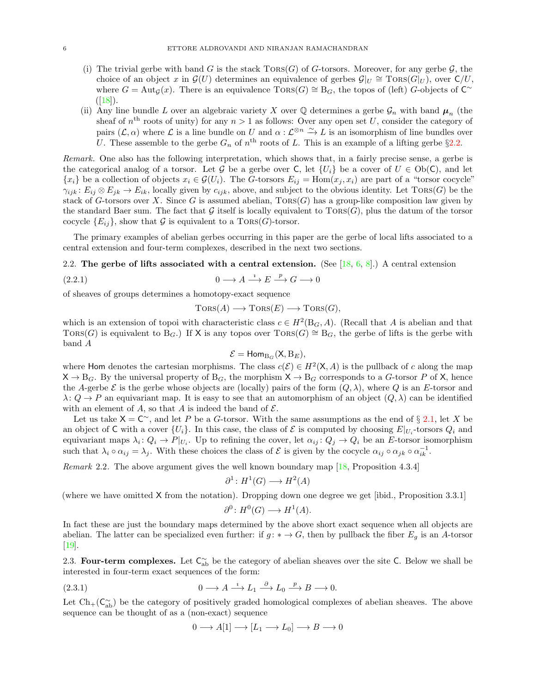- <span id="page-5-5"></span>(i) The trivial gerbe with band G is the stack  $TORS(G)$  of G-torsors. Moreover, for any gerbe G, the choice of an object x in  $\mathcal{G}(U)$  determines an equivalence of gerbes  $\mathcal{G}|_U \cong \text{Tors}(G|_U)$ , over  $\mathsf{C}/U$ , where  $G = \text{Aut}_{\mathcal{G}}(x)$ . There is an equivalence  $\text{TORS}(G) \cong B_G$ , the topos of (left) G-objects of  $C^{\sim}$  $([18]).$  $([18]).$  $([18]).$
- (ii) Any line bundle L over an algebraic variety X over  $\mathbb Q$  determines a gerbe  $\mathcal G_n$  with band  $\mu_n$  (the sheaf of  $n<sup>th</sup>$  roots of unity) for any  $n > 1$  as follows: Over any open set U, consider the category of pairs  $(\mathcal{L}, \alpha)$  where  $\mathcal L$  is a line bundle on U and  $\alpha : \mathcal L^{\otimes n} \stackrel{\sim}{\to} L$  is an isomorphism of line bundles over U. These assemble to the gerbe  $G_n$  of  $n^{\text{th}}$  roots of L. This is an example of a lifting gerbe §[2.2.](#page-5-0)

Remark. One also has the following interpretation, which shows that, in a fairly precise sense, a gerbe is the categorical analog of a torsor. Let G be a gerbe over C, let  $\{U_i\}$  be a cover of  $U \in Ob(C)$ , and let  ${x_i}$  be a collection of objects  $x_i \in \mathcal{G}(U_i)$ . The G-torsors  $E_{ij} = \text{Hom}(x_j, x_i)$  are part of a "torsor cocycle"  $\gamma_{ijk}$ :  $E_{ij} \otimes E_{jk} \to E_{ik}$ , locally given by  $c_{ijk}$ , above, and subject to the obvious identity. Let TORS(G) be the stack of G-torsors over X. Since G is assumed abelian,  $TORS(G)$  has a group-like composition law given by the standard Baer sum. The fact that  $G$  itself is locally equivalent to  $TORS(G)$ , plus the datum of the torsor cocycle  ${E_{ij}}$ , show that G is equivalent to a TORS(G)-torsor.

The primary examples of abelian gerbes occurring in this paper are the gerbe of local lifts associated to a central extension and four-term complexes, described in the next two sections.

<span id="page-5-0"></span>2.2. The gerbe of lifts associated with a central extension. (See  $[18, 6, 8]$  $[18, 6, 8]$  $[18, 6, 8]$  $[18, 6, 8]$ .) A central extension

$$
(2.2.1) \t\t 0 \longrightarrow A \stackrel{i}{\longrightarrow} E \stackrel{p}{\longrightarrow} G \longrightarrow 0
$$

of sheaves of groups determines a homotopy-exact sequence

<span id="page-5-4"></span> $TORS(A) \longrightarrow TORS(E) \longrightarrow TORS(G),$ 

which is an extension of topoi with characteristic class  $c \in H^2(\mathcal{B}_G, A)$ . (Recall that A is abelian and that TORS(G) is equivalent to  $B_G$ .) If X is any topos over TORS(G) ≅  $B_G$ , the gerbe of lifts is the gerbe with band A

$$
\mathcal{E} = \mathsf{Hom}_{B_G}(X, B_E),
$$

where Hom denotes the cartesian morphisms. The class  $c(\mathcal{E}) \in H^2(\mathsf{X}, A)$  is the pullback of c along the map  $X \to B_G$ . By the universal property of  $B_G$ , the morphism  $X \to B_G$  corresponds to a G-torsor P of X, hence the A-gerbe  $\mathcal E$  is the gerbe whose objects are (locally) pairs of the form  $(Q, \lambda)$ , where Q is an E-torsor and  $\lambda: Q \to P$  an equivariant map. It is easy to see that an automorphism of an object  $(Q, \lambda)$  can be identified with an element of A, so that A is indeed the band of  $\mathcal{E}$ .

Let us take  $X = C^{\sim}$ , and let P be a G-torsor. With the same assumptions as the end of § [2.1,](#page-4-3) let X be an object of C with a cover  $\{U_i\}$ . In this case, the class of  $\mathcal E$  is computed by choosing  $E|_{U_i}$ -torsors  $Q_i$  and equivariant maps  $\lambda_i: Q_i \to P|_{U_i}$ . Up to refining the cover, let  $\alpha_{ij}: Q_j \to Q_i$  be an E-torsor isomorphism such that  $\lambda_i \circ \alpha_{ij} = \lambda_j$ . With these choices the class of  $\mathcal E$  is given by the cocycle  $\alpha_{ij} \circ \alpha_{jk} \circ \alpha_{ik}^{-1}$ .

<span id="page-5-3"></span>Remark 2.2. The above argument gives the well known boundary map [\[18,](#page-18-0) Proposition 4.3.4]

$$
\partial^1 \colon H^1(G) \longrightarrow H^2(A)
$$

(where we have omitted X from the notation). Dropping down one degree we get [ibid., Proposition 3.3.1]

$$
\partial^0 \colon H^0(G) \longrightarrow H^1(A).
$$

In fact these are just the boundary maps determined by the above short exact sequence when all objects are abelian. The latter can be specialized even further: if  $g: \rightarrow G$ , then by pullback the fiber  $E_q$  is an A-torsor [\[19\]](#page-18-15).

<span id="page-5-1"></span>2.3. Four-term complexes. Let  $C_{ab}^{\sim}$  be the category of abelian sheaves over the site C. Below we shall be interested in four-term exact sequences of the form:

(2.3.1) 
$$
0 \longrightarrow A \stackrel{i}{\longrightarrow} L_1 \stackrel{\partial}{\longrightarrow} L_0 \stackrel{p}{\longrightarrow} B \longrightarrow 0.
$$

Let  $Ch_{+}(C_{ab}^{\sim})$  be the category of positively graded homological complexes of abelian sheaves. The above sequence can be thought of as a (non-exact) sequence

<span id="page-5-2"></span>
$$
0 \longrightarrow A[1] \longrightarrow [L_1 \longrightarrow L_0] \longrightarrow B \longrightarrow 0
$$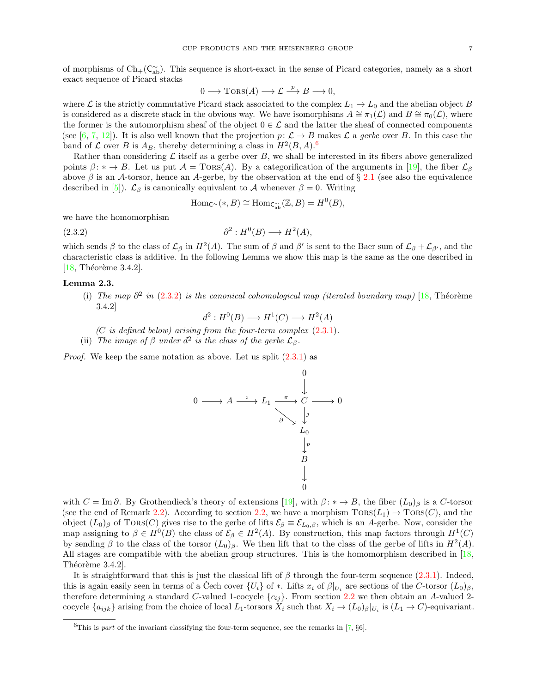of morphisms of  $Ch_+(\mathsf{C}_{ab}^\sim)$ . This sequence is short-exact in the sense of Picard categories, namely as a short exact sequence of Picard stacks

$$
0 \longrightarrow \text{Tors}(A) \longrightarrow \mathcal{L} \stackrel{p}{\longrightarrow} B \longrightarrow 0,
$$

where L is the strictly commutative Picard stack associated to the complex  $L_1 \to L_0$  and the abelian object B is considered as a discrete stack in the obvious way. We have isomorphisms  $A \cong \pi_1(\mathcal{L})$  and  $B \cong \pi_0(\mathcal{L})$ , where the former is the automorphism sheaf of the object  $0 \in \mathcal{L}$  and the latter the sheaf of connected components (see [\[6,](#page-18-2) [7,](#page-18-8) [12\]](#page-18-16)). It is also well known that the projection  $p: \mathcal{L} \to B$  makes  $\mathcal{L}$  a gerbe over B. In this case the band of  $\mathcal L$  over  $B$  is  $A_B$ , thereby determining a class in  $H^2(B, A)$ .<sup>[6](#page-6-0)</sup>

Rather than considering  $\mathcal L$  itself as a gerbe over  $B$ , we shall be interested in its fibers above generalized points  $\beta: \ast \to B$ . Let us put  $\mathcal{A} = \text{TORS}(A)$ . By a categorification of the arguments in [\[19\]](#page-18-15), the fiber  $\mathcal{L}_{\beta}$ above  $\beta$  is an A-torsor, hence an A-gerbe, by the observation at the end of § [2.1](#page-4-3) (see also the equivalence described in [\[5\]](#page-18-17)).  $\mathcal{L}_{\beta}$  is canonically equivalent to A whenever  $\beta = 0$ . Writing

<span id="page-6-1"></span>
$$
\mathrm{Hom}_{\mathsf{C}^{\infty}}(*,B) \cong \mathrm{Hom}_{\mathsf{C}^{\infty}_{\mathrm{ab}}}(\mathbb{Z},B) = H^{0}(B),
$$

we have the homomorphism

$$
(2.3.2) \t\t \t\t \t\t \t\t \t\t \t\t \t\partial^2 : H^0(B) \longrightarrow H^2(A),
$$

which sends  $\beta$  to the class of  $\mathcal{L}_{\beta}$  in  $H^2(A)$ . The sum of  $\beta$  and  $\beta'$  is sent to the Baer sum of  $\mathcal{L}_{\beta} + \mathcal{L}_{\beta'}$ , and the characteristic class is additive. In the following Lemma we show this map is the same as the one described in  $[18,$  Théorème 3.4.2].

### <span id="page-6-3"></span><span id="page-6-2"></span>Lemma 2.3.

(i) The map  $\partial^2$  in [\(2.3.2\)](#page-6-1) is the canonical cohomological map (iterated boundary map) [\[18,](#page-18-0) Théorème 3.4.2]

 $d^2: H^0(B) \longrightarrow H^1(C) \longrightarrow H^2(A)$ 

- $(C$  is defined below) arising from the four-term complex  $(2.3.1)$ .
- (ii) The image of  $\beta$  under  $d^2$  is the class of the gerbe  $\mathcal{L}_{\beta}$ .

<span id="page-6-4"></span>Proof. We keep the same notation as above. Let us split [\(2.3.1\)](#page-5-2) as

$$
0 \longrightarrow A \xrightarrow{i} L_1 \xrightarrow{\pi} C \longrightarrow 0
$$
  
\n
$$
\downarrow 0
$$
  
\n
$$
\downarrow 0
$$
  
\n
$$
\downarrow 0
$$
  
\n
$$
\downarrow 0
$$
  
\n
$$
\downarrow 0
$$
  
\n
$$
\downarrow 0
$$
  
\n
$$
\downarrow 0
$$

with  $C = \text{Im }\partial$ . By Grothendieck's theory of extensions [\[19\]](#page-18-15), with  $\beta: * \to B$ , the fiber  $(L_0)_{\beta}$  is a C-torsor (see the end of Remark [2.2\)](#page-5-3). According to section [2.2,](#page-5-0) we have a morphism  $TORS(L_1) \rightarrow TORS(C)$ , and the object  $(L_0)$ <sub>β</sub> of TORS(C) gives rise to the gerbe of lifts  $\mathcal{E}_{\beta} \equiv \mathcal{E}_{L_0,\beta}$ , which is an A-gerbe. Now, consider the map assigning to  $\beta \in H^0(B)$  the class of  $\mathcal{E}_{\beta} \in H^2(A)$ . By construction, this map factors through  $H^1(C)$ by sending  $\beta$  to the class of the torsor  $(L_0)_{\beta}$ . We then lift that to the class of the gerbe of lifts in  $H^2(A)$ . All stages are compatible with the abelian group structures. This is the homomorphism described in [\[18,](#page-18-0) Théorème  $3.4.2$ ].

It is straightforward that this is just the classical lift of  $\beta$  through the four-term sequence [\(2.3.1\)](#page-5-2). Indeed, this is again easily seen in terms of a Cech cover  $\{U_i\}$  of  $*$ . Lifts  $x_i$  of  $\beta|_{U_i}$  are sections of the C-torsor  $(L_0)_{\beta}$ , therefore determining a standard C-valued 1-cocycle  $\{c_{ij}\}\$ . From section [2.2](#page-5-0) we then obtain an A-valued 2cocycle  $\{a_{ijk}\}\$ arising from the choice of local  $L_1$ -torsors  $X_i$  such that  $X_i \to (L_0)_\beta|_{U_i}$  is  $(L_1 \to C)$ -equivariant.

<span id="page-6-0"></span><sup>&</sup>lt;sup>6</sup>This is part of the invariant classifying the four-term sequence, see the remarks in [\[7,](#page-18-8)  $\S6$ ].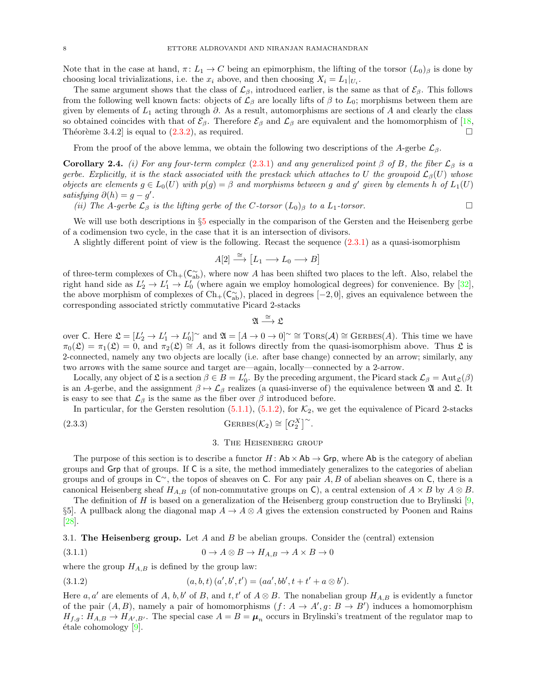Note that in the case at hand,  $\pi: L_1 \to C$  being an epimorphism, the lifting of the torsor  $(L_0)_{\beta}$  is done by choosing local trivializations, i.e. the  $x_i$  above, and then choosing  $X_i = L_1|_{U_i}$ .

The same argument shows that the class of  $\mathcal{L}_{\beta}$ , introduced earlier, is the same as that of  $\mathcal{E}_{\beta}$ . This follows from the following well known facts: objects of  $\mathcal{L}_{\beta}$  are locally lifts of  $\beta$  to  $L_0$ ; morphisms between them are given by elements of  $L_1$  acting through  $\partial$ . As a result, automorphisms are sections of A and clearly the class so obtained coincides with that of  $\mathcal{E}_{\beta}$ . Therefore  $\mathcal{E}_{\beta}$  and  $\mathcal{L}_{\beta}$  are equivalent and the homomorphism of [\[18,](#page-18-0) Théorème 3.4.2] is equal to  $(2.3.2)$ , as required.

From the proof of the above lemma, we obtain the following two descriptions of the A-gerbe  $\mathcal{L}_{\beta}$ .

<span id="page-7-4"></span>**Corollary 2.4.** (i) For any four-term complex [\(2.3.1\)](#page-5-2) and any generalized point  $\beta$  of B, the fiber  $\mathcal{L}_{\beta}$  is a gerbe. Explicitly, it is the stack associated with the prestack which attaches to U the groupoid  $\mathcal{L}_{\beta}(U)$  whose objects are elements  $g \in L_0(U)$  with  $p(g) = \beta$  and morphisms between g and g' given by elements h of  $L_1(U)$ satisfying  $\partial(h) = g - g'$ .

(ii) The A-gerbe  $\mathcal{L}_{\beta}$  is the lifting gerbe of the C-torsor  $(L_0)_{\beta}$  to a  $L_1$ -torsor.

We will use both descriptions in  $\S5$  $\S5$  especially in the comparison of the Gersten and the Heisenberg gerbe of a codimension two cycle, in the case that it is an intersection of divisors.

A slightly different point of view is the following. Recast the sequence [\(2.3.1\)](#page-5-2) as a quasi-isomorphism

$$
A[2] \stackrel{\cong}{\longrightarrow} [L_1 \longrightarrow L_0 \longrightarrow B]
$$

of three-term complexes of  $\text{Ch}_+(\mathsf{C}_{\text{ab}}^{\sim})$ , where now A has been shifted two places to the left. Also, relabel the right hand side as  $L'_2 \to L'_1 \to L'_0$  (where again we employ homological degrees) for convenience. By [\[32\]](#page-19-1), the above morphism of complexes of  $Ch_{+}(C_{ab}^{\sim})$ , placed in degrees  $[-2,0]$ , gives an equivalence between the corresponding associated strictly commutative Picard 2-stacks

$$
\mathfrak{A}\stackrel{\cong}{\longrightarrow}\mathfrak{L}
$$

over C. Here  $\mathfrak{L} = [L'_2 \to L'_1 \to L'_0]^\sim$  and  $\mathfrak{A} = [A \to 0 \to 0]^\sim \cong \text{Tors}(\mathcal{A}) \cong \text{GERBES}(\mathcal{A})$ . This time we have  $\pi_0(\mathfrak{L}) = \pi_1(\mathfrak{L}) = 0$ , and  $\pi_2(\mathfrak{L}) \cong A$ , as it follows directly from the quasi-isomorphism above. Thus  $\mathfrak{L}$  is 2-connected, namely any two objects are locally (i.e. after base change) connected by an arrow; similarly, any two arrows with the same source and target are—again, locally—connected by a 2-arrow.

Locally, any object of  $\mathfrak{L}$  is a section  $\beta \in B = L'_0$ . By the preceding argument, the Picard stack  $\mathcal{L}_{\beta} = \text{Aut}_{\mathfrak{L}}(\beta)$ is an A-gerbe, and the assignment  $\beta \mapsto \mathcal{L}_{\beta}$  realizes (a quasi-inverse of) the equivalence between  $\mathfrak A$  and  $\mathfrak L$ . It is easy to see that  $\mathcal{L}_{\beta}$  is the same as the fiber over  $\beta$  introduced before.

In particular, for the Gersten resolution  $(5.1.1)$ ,  $(5.1.2)$ , for  $\mathcal{K}_2$ , we get the equivalence of Picard 2-stacks (2.3.3) GERBES( $\mathcal{K}_2$ ) ≅  $[G_2^X]^\sim$ .

#### <span id="page-7-5"></span><span id="page-7-2"></span>3. The Heisenberg group

<span id="page-7-0"></span>The purpose of this section is to describe a functor  $H:$  Ab  $\times$  Ab  $\rightarrow$  Grp, where Ab is the category of abelian groups and Grp that of groups. If C is a site, the method immediately generalizes to the categories of abelian groups and of groups in  $\mathsf{C}^{\sim}$ , the topos of sheaves on C. For any pair A, B of abelian sheaves on C, there is a canonical Heisenberg sheaf  $H_{A,B}$  (of non-commutative groups on C), a central extension of  $A \times B$  by  $A \otimes B$ .

The definition of H is based on a generalization of the Heisenberg group construction due to Brylinski  $[9, 6]$ §5]. A pullback along the diagonal map  $A \to A \otimes A$  gives the extension constructed by Poonen and Rains [\[28\]](#page-18-11).

<span id="page-7-1"></span>3.1. The Heisenberg group. Let A and B be abelian groups. Consider the (central) extension

$$
(3.1.1) \t\t 0 \to A \otimes B \to H_{A,B} \to A \times B \to 0
$$

where the group  $H_{A,B}$  is defined by the group law:

<span id="page-7-3"></span>(3.1.2) 
$$
(a, b, t) (a', b', t') = (aa', bb', t + t' + a \otimes b').
$$

Here a, a' are elements of A, b, b' of B, and t, t' of  $A \otimes B$ . The nonabelian group  $H_{A,B}$  is evidently a functor of the pair  $(A, B)$ , namely a pair of homomorphisms  $(f: A \rightarrow A', g: B \rightarrow B')$  induces a homomorphism  $H_{f,g}: H_{A,B} \to H_{A',B'}$ . The special case  $A = B = \mu_n$  occurs in Brylinski's treatment of the regulator map to  $\text{étale cohomology}$  [\[9\]](#page-18-9).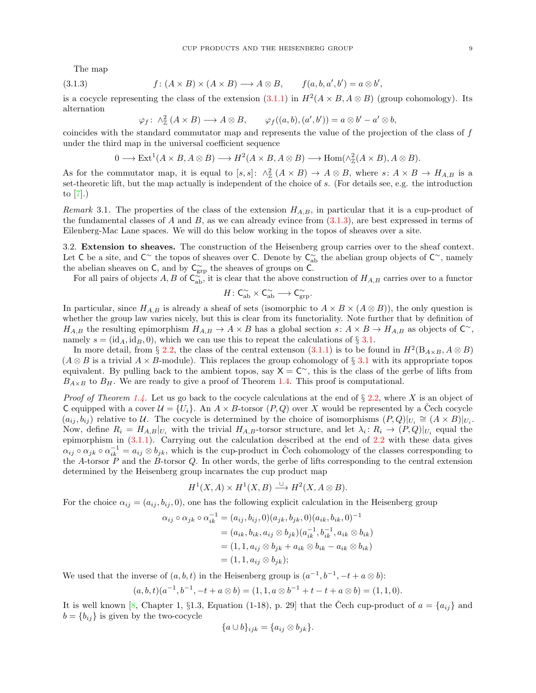The map

(3.1.3) 
$$
f: (A \times B) \times (A \times B) \longrightarrow A \otimes B, \qquad f(a, b, a', b') = a \otimes b',
$$

is a cocycle representing the class of the extension  $(3.1.1)$  in  $H^2(A \times B, A \otimes B)$  (group cohomology). Its alternation

<span id="page-8-1"></span>
$$
\varphi_f \colon \wedge^2_{\mathbb{Z}} (A \times B) \longrightarrow A \otimes B, \qquad \varphi_f((a, b), (a', b')) = a \otimes b' - a' \otimes b,
$$

coincides with the standard commutator map and represents the value of the projection of the class of f under the third map in the universal coefficient sequence

$$
0 \longrightarrow \text{Ext}^1(A \times B, A \otimes B) \longrightarrow H^2(A \times B, A \otimes B) \longrightarrow \text{Hom}(\wedge^2_{\mathbb{Z}}(A \times B), A \otimes B).
$$

As for the commutator map, it is equal to  $[s, s]: \wedge^2_{\mathbb{Z}} (A \times B) \to A \otimes B$ , where  $s: A \times B \to H_{A,B}$  is a set-theoretic lift, but the map actually is independent of the choice of s. (For details see, e.g. the introduction to [\[7\]](#page-18-8).)

Remark 3.1. The properties of the class of the extension  $H_{A,B}$ , in particular that it is a cup-product of the fundamental classes of A and B, as we can already evince from  $(3.1.3)$ , are best expressed in terms of Eilenberg-Mac Lane spaces. We will do this below working in the topos of sheaves over a site.

<span id="page-8-0"></span>3.2. Extension to sheaves. The construction of the Heisenberg group carries over to the sheaf context. Let C be a site, and  $\mathsf{C}^{\sim}$  the topos of sheaves over C. Denote by  $\mathsf{C}_{ab}^{\sim}$  the abelian group objects of  $\mathsf{C}^{\sim}$ , namely the abelian sheaves on  $\mathsf{C}$ , and by  $\mathsf{C}^{\sim}_{\text{grp}}$  the sheaves of groups on  $\mathsf{C}$ .

For all pairs of objects A, B of  $C_{ab}^{\infty}$ , it is clear that the above construction of  $H_{A,B}$  carries over to a functor

$$
H\colon \mathsf{C}_{\mathrm{ab}}^\sim \times \mathsf{C}_{\mathrm{ab}}^\sim \longrightarrow \mathsf{C}_{\mathrm{grp}}^\sim.
$$

In particular, since  $H_{A,B}$  is already a sheaf of sets (isomorphic to  $A \times B \times (A \otimes B)$ ), the only question is whether the group law varies nicely, but this is clear from its functoriality. Note further that by definition of  $H_{A,B}$  the resulting epimorphism  $H_{A,B} \to A \times B$  has a global section  $s: A \times B \to H_{A,B}$  as objects of  $\mathbb{C}^{\sim}$ , namely  $s = (id_A, id_B, 0)$ , which we can use this to repeat the calculations of § [3.1.](#page-7-1)

In more detail, from § [2.2,](#page-5-0) the class of the central extenson [\(3.1.1\)](#page-7-2) is to be found in  $H^2(B_{A\times B}, A \otimes B)$  $(A \otimes B$  is a trivial  $A \times B$ -module). This replaces the group cohomology of § [3.1](#page-7-1) with its appropriate topos equivalent. By pulling back to the ambient topos, say  $X = C^{\sim}$ , this is the class of the gerbe of lifts from  $B_{A\times B}$  to  $B_H$ . We are ready to give a proof of Theorem [1.4.](#page-2-2) This proof is computational.

*Proof of Theorem [1.4.](#page-2-2)* Let us go back to the cocycle calculations at the end of  $\S 2.2$ , where X is an object of C equipped with a cover  $\mathcal{U} = \{U_i\}$ . An  $A \times B$ -torsor  $(P, Q)$  over X would be represented by a Cech cocycle  $(a_{ij}, b_{ij})$  relative to U. The cocycle is determined by the choice of isomorphisms  $(P,Q)|_{U_i} \cong (A \times B)|_{U_i}$ . Now, define  $R_i = H_{A,B}|_{U_i}$  with the trivial  $H_{A,B}$ -torsor structure, and let  $\lambda_i: R_i \to (P,Q)|_{U_i}$  equal the epimorphism in [\(3.1.1\)](#page-7-2). Carrying out the calculation described at the end of [2.2](#page-5-0) with these data gives  $\alpha_{ij} \circ \alpha_{jk} \circ \alpha_{ik}^{-1} = a_{ij} \otimes b_{jk}$ , which is the cup-product in Čech cohomology of the classes corresponding to the A-torsor  $\overline{P}$  and the B-torsor Q. In other words, the gerbe of lifts corresponding to the central extension determined by the Heisenberg group incarnates the cup product map

$$
H^1(X, A) \times H^1(X, B) \xrightarrow{\cup} H^2(X, A \otimes B).
$$

For the choice  $\alpha_{ij} = (a_{ij}, b_{ij}, 0)$ , one has the following explicit calculation in the Heisenberg group

$$
\alpha_{ij} \circ \alpha_{jk} \circ \alpha_{ik}^{-1} = (a_{ij}, b_{ij}, 0)(a_{jk}, b_{jk}, 0)(a_{ik}, b_{ik}, 0)^{-1}
$$
  
=  $(a_{ik}, b_{ik}, a_{ij} \otimes b_{jk})(a_{ik}^{-1}, b_{ik}^{-1}, a_{ik} \otimes b_{ik})$   
=  $(1, 1, a_{ij} \otimes b_{jk} + a_{ik} \otimes b_{ik} - a_{ik} \otimes b_{ik})$   
=  $(1, 1, a_{ij} \otimes b_{jk});$ 

We used that the inverse of  $(a, b, t)$  in the Heisenberg group is  $(a^{-1}, b^{-1}, -t + a \otimes b)$ :

$$
(a, b, t)(a^{-1}, b^{-1}, -t + a \otimes b) = (1, 1, a \otimes b^{-1} + t - t + a \otimes b) = (1, 1, 0).
$$

It is well known [\[8,](#page-18-14) Chapter 1, §1.3, Equation (1-18), p. 29] that the Čech cup-product of  $a = \{a_{ij}\}\$ and  $b = \{b_{ij}\}\$ is given by the two-cocycle

$$
\{a \cup b\}_{ijk} = \{a_{ij} \otimes b_{jk}\}.
$$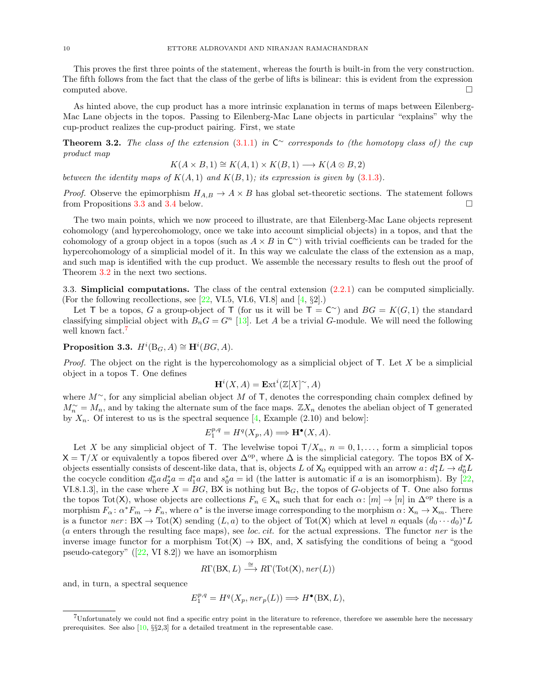This proves the first three points of the statement, whereas the fourth is built-in from the very construction. The fifth follows from the fact that the class of the gerbe of lifts is bilinear: this is evident from the expression computed above.

As hinted above, the cup product has a more intrinsic explanation in terms of maps between Eilenberg-Mac Lane objects in the topos. Passing to Eilenberg-Mac Lane objects in particular "explains" why the cup-product realizes the cup-product pairing. First, we state

<span id="page-9-2"></span>**Theorem 3.2.** The class of the extension  $(3.1.1)$  in  $C^{\sim}$  corresponds to (the homotopy class of) the cup product map

$$
K(A \times B, 1) \cong K(A, 1) \times K(B, 1) \longrightarrow K(A \otimes B, 2)
$$

between the identity maps of  $K(A, 1)$  and  $K(B, 1)$ ; its expression is given by [\(3.1.3\)](#page-8-1).

*Proof.* Observe the epimorphism  $H_{A,B} \to A \times B$  has global set-theoretic sections. The statement follows from Propositions [3.3](#page-9-1) and [3.4](#page-10-2) below.

The two main points, which we now proceed to illustrate, are that Eilenberg-Mac Lane objects represent cohomology (and hypercohomology, once we take into account simplicial objects) in a topos, and that the cohomology of a group object in a topos (such as  $A \times B$  in  $\mathbb{C}^{\sim}$ ) with trivial coefficients can be traded for the hypercohomology of a simplicial model of it. In this way we calculate the class of the extension as a map, and such map is identified with the cup product. We assemble the necessary results to flesh out the proof of Theorem [3.2](#page-9-2) in the next two sections.

<span id="page-9-0"></span>3.3. Simplicial computations. The class of the central extension [\(2.2.1\)](#page-5-4) can be computed simplicially. (For the following recollections, see  $[22, VI.5, VI.6, VI.8]$  and  $[4, §2]$ .)

Let T be a topos, G a group-object of T (for us it will be  $T = C^{\sim}$ ) and  $BG = K(G, 1)$  the standard classifying simplicial object with  $B_nG = G^n$  [\[13\]](#page-18-20). Let A be a trivial G-module. We will need the following well known fact.<sup>[7](#page-9-3)</sup>

<span id="page-9-1"></span>Proposition 3.3.  $H^i(\mathcal{B}_G, A) \cong \mathbf{H}^i(BG, A)$ .

*Proof.* The object on the right is the hypercohomology as a simplicial object of  $\mathsf{T}$ . Let X be a simplicial object in a topos T. One defines

$$
\mathbf{H}^i(X, A) = \mathbf{Ext}^i(\mathbb{Z}[X]^\sim, A)
$$

where  $M^{\sim}$ , for any simplicial abelian object M of T, denotes the corresponding chain complex defined by  $M_n^{\sim} = M_n$ , and by taking the alternate sum of the face maps.  $\mathbb{Z}X_n$  denotes the abelian object of T generated by  $X_n$ . Of interest to us is the spectral sequence [\[4,](#page-18-19) Example (2.10) and below]:

$$
E_1^{p,q} = H^q(X_p, A) \Longrightarrow \mathbf{H}^\bullet(X, A).
$$

Let X be any simplicial object of T. The levelwise topoi  $T/X_n$ ,  $n = 0, 1, \ldots$ , form a simplicial topos  $X = T/X$  or equivalently a topos fibered over  $\Delta^{op}$ , where  $\Delta$  is the simplicial category. The topos BX of Xobjects essentially consists of descent-like data, that is, objects L of  $X_0$  equipped with an arrow  $a: d_1^*L \to d_0^*L$ the cocycle condition  $d_0^* a d_2^* a = d_1^* a$  and  $s_0^* a = id$  (the latter is automatic if a is an isomorphism). By [\[22,](#page-18-18) VI.8.1.3], in the case where  $X = BG$ , BX is nothing but  $B_G$ , the topos of G-objects of T. One also forms the topos Tot(X), whose objects are collections  $F_n \in X_n$  such that for each  $\alpha: [m] \to [n]$  in  $\Delta^{op}$  there is a morphism  $F_{\alpha}: \alpha^* F_m \to F_n$ , where  $\alpha^*$  is the inverse image corresponding to the morphism  $\alpha: X_n \to X_m$ . There is a functor  $ner \colon BX \to \text{Tot}(X)$  sending  $(L, a)$  to the object of  $\text{Tot}(X)$  which at level n equals  $(d_0 \cdots d_0)^* L$ (a enters through the resulting face maps), see loc. cit. for the actual expressions. The functor ner is the inverse image functor for a morphism  $Tot(X) \rightarrow BX$ , and, X satisfying the conditions of being a "good pseudo-category" $([22, V1 8.2])$  $([22, V1 8.2])$  $([22, V1 8.2])$  we have an isomorphism

$$
R\Gamma(\text{BX}, L) \xrightarrow{\cong} R\Gamma(\text{Tot}(\mathsf{X}), \text{ner}(L))
$$

and, in turn, a spectral sequence

$$
E_1^{p,q}=H^q(X_p,ner_p(L))\Longrightarrow H^\bullet(\mathrm{B}\mathsf{X},L),
$$

<span id="page-9-3"></span><sup>7</sup>Unfortunately we could not find a specific entry point in the literature to reference, therefore we assemble here the necessary prerequisites. See also  $[10, \S\S2, 3]$  $[10, \S\S2, 3]$  for a detailed treatment in the representable case.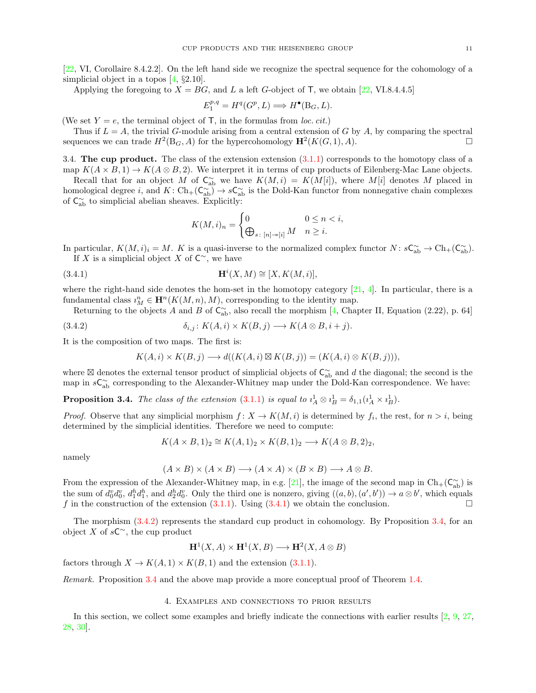[\[22,](#page-18-18) VI, Corollaire 8.4.2.2]. On the left hand side we recognize the spectral sequence for the cohomology of a simplicial object in a topos [\[4,](#page-18-19) §2.10].

Applying the foregoing to  $X = BG$ , and L a left G-object of T, we obtain [\[22,](#page-18-18) VI.8.4.4.5]

$$
E_1^{p,q} = H^q(G^p, L) \Longrightarrow H^{\bullet}(\mathcal{B}_G, L).
$$

(We set  $Y = e$ , the terminal object of T, in the formulas from *loc. cit.*)

Thus if  $L = A$ , the trivial G-module arising from a central extension of G by A, by comparing the spectral sequences we can trade  $H^2(\mathcal{B}_G, A)$  for the hypercohomology  $\mathbf{H}^2(K(G, 1), A)$ .

<span id="page-10-0"></span>3.4. The cup product. The class of the extension extension  $(3.1.1)$  corresponds to the homotopy class of a map  $K(A \times B, 1) \to K(A \otimes B, 2)$ . We interpret it in terms of cup products of Eilenberg-Mac Lane objects.

Recall that for an object M of  $C_{ab}^{\sim}$  we have  $K(M, i) = K(M[i])$ , where M[i] denotes M placed in homological degree *i*, and  $K: Ch_{+}(C_{ab}^{\sim}) \to sC_{ab}^{\sim}$  is the Dold-Kan functor from nonnegative chain complexes of  $C_{ab}^{\sim}$  to simplicial abelian sheaves. Explicitly:

<span id="page-10-3"></span>
$$
K(M,i)_n = \begin{cases} 0 & 0 \le n < i, \\ \bigoplus_{s \colon [n] \to [i]} M & n \ge i. \end{cases}
$$

In particular,  $K(M, i)_i = M$ . K is a quasi-inverse to the normalized complex functor  $N: s\mathsf{C}_{ab}^{\sim} \to \mathrm{Ch}_+(\mathsf{C}_{ab}^{\sim})$ . If X is a simplicial object X of  $\mathsf{C}^\sim$ , we have

$$
\mathbf{H}^i(X, M) \cong [X, K(M, i)],
$$

where the right-hand side denotes the hom-set in the homotopy category  $[21, 4]$  $[21, 4]$ . In particular, there is a fundamental class  $i_M^n \in \mathbf{H}^n(K(M,n),M)$ , corresponding to the identity map.

Returning to the objects A and B of  $C_{ab}^{\sim}$ , also recall the morphism [\[4,](#page-18-19) Chapter II, Equation (2.22), p. 64]

$$
(3.4.2) \t\t\t \delta_{i,j}: K(A,i) \times K(B,j) \longrightarrow K(A \otimes B, i+j).
$$

It is the composition of two maps. The first is:

<span id="page-10-4"></span>
$$
K(A,i) \times K(B,j) \longrightarrow d((K(A,i) \boxtimes K(B,j)) = (K(A,i) \otimes K(B,j))),
$$

where  $\boxtimes$  denotes the external tensor product of simplicial objects of  $\mathsf{C}^\sim_\text{ab}$  and d the diagonal; the second is the map in  $sC_{ab}^{\sim}$  corresponding to the Alexander-Whitney map under the Dold-Kan correspondence. We have:

<span id="page-10-2"></span>**Proposition 3.4.** The class of the extension [\(3.1.1\)](#page-7-2) is equal to  $\iota_A^1 \otimes \iota_B^1 = \delta_{1,1}(\iota_A^1 \times \iota_B^1)$ .

*Proof.* Observe that any simplicial morphism  $f: X \to K(M, i)$  is determined by  $f_i$ , the rest, for  $n > i$ , being determined by the simplicial identities. Therefore we need to compute:

$$
K(A \times B, 1)_2 \cong K(A, 1)_2 \times K(B, 1)_2 \longrightarrow K(A \otimes B, 2)_2,
$$

namely

$$
(A \times B) \times (A \times B) \longrightarrow (A \times A) \times (B \times B) \longrightarrow A \otimes B.
$$

From the expression of the Alexander-Whitney map, in e.g. [\[21\]](#page-18-22), the image of the second map in  $Ch_{+}(C_{ab}^{\sim})$  is the sum of  $d_0^v d_0^v$ ,  $d_1^h d_1^h$ , and  $d_2^h d_0^v$ . Only the third one is nonzero, giving  $((a, b), (a', b')) \to a \otimes b'$ , which equals f in the construction of the extension  $(3.1.1)$ . Using  $(3.4.1)$  we obtain the conclusion.

The morphism [\(3.4.2\)](#page-10-4) represents the standard cup product in cohomology. By Proposition [3.4,](#page-10-2) for an object X of  $sC^{\sim}$ , the cup product

$$
H^1(X, A) \times H^1(X, B) \longrightarrow H^2(X, A \otimes B)
$$

factors through  $X \to K(A, 1) \times K(B, 1)$  and the extension [\(3.1.1\)](#page-7-2).

Remark. Proposition [3.4](#page-10-2) and the above map provide a more conceptual proof of Theorem [1.4.](#page-2-2)

# 4. Examples and connections to prior results

<span id="page-10-1"></span>In this section, we collect some examples and briefly indicate the connections with earlier results [\[2,](#page-18-6) [9,](#page-18-9) [27,](#page-18-10) [28,](#page-18-11) [30\]](#page-19-0).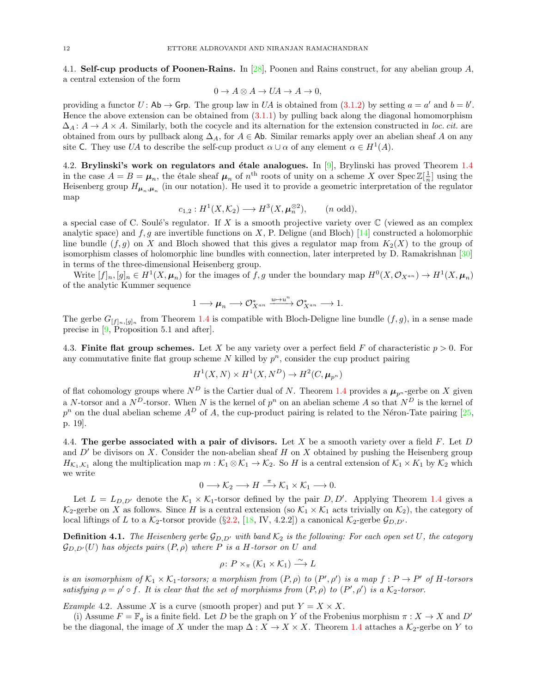<span id="page-11-0"></span>4.1. Self-cup products of Poonen-Rains. In [\[28\]](#page-18-11), Poonen and Rains construct, for any abelian group A, a central extension of the form

$$
0 \to A \otimes A \to UA \to A \to 0,
$$

providing a functor  $U:$  Ab  $\rightarrow$  Grp. The group law in UA is obtained from  $(3.1.2)$  by setting  $a = a'$  and  $b = b'$ . Hence the above extension can be obtained from [\(3.1.1\)](#page-7-2) by pulling back along the diagonal homomorphism  $\Delta_A: A \to A \times A$ . Similarly, both the cocycle and its alternation for the extension constructed in loc. cit. are obtained from ours by pullback along  $\Delta_A$ , for  $A \in$  Ab. Similar remarks apply over an abelian sheaf A on any site C. They use UA to describe the self-cup product  $\alpha \cup \alpha$  of any element  $\alpha \in H^1(A)$ .

<span id="page-11-1"></span>4.2. Brylinski's work on regulators and étale analogues. In  $[9]$ , Brylinski has proved Theorem [1.4](#page-2-2) in the case  $A = B = \mu_n$ , the étale sheaf  $\mu_n$  of  $n^{\text{th}}$  roots of unity on a scheme X over  $\text{Spec } \mathbb{Z}[\frac{1}{n}]$  using the Heisenberg group  $H_{\mu_n,\mu_n}$  (in our notation). He used it to provide a geometric interpretation of the regulator map

$$
c_{1,2}: H^1(X, \mathcal{K}_2) \longrightarrow H^3(X, \boldsymbol{\mu}_n^{\otimes 2}), \qquad (n \text{ odd}),
$$

a special case of C. Soulé's regulator. If X is a smooth projective variety over  $\mathbb C$  (viewed as an complex analytic space) and  $f, g$  are invertible functions on X, P. Deligne (and Bloch) [\[14\]](#page-18-7) constructed a holomorphic line bundle  $(f, g)$  on X and Bloch showed that this gives a regulator map from  $K_2(X)$  to the group of isomorphism classes of holomorphic line bundles with connection, later interpreted by D. Ramakrishnan [\[30\]](#page-19-0) in terms of the three-dimensional Heisenberg group.

Write  $[f]_n, [g]_n \in H^1(X, \mu_n)$  for the images of f, g under the boundary map  $H^0(X, \mathcal{O}_{X^{an}}) \to H^1(X, \mu_n)$ of the analytic Kummer sequence

$$
1\longrightarrow \boldsymbol{\mu}_n\longrightarrow \mathcal{O}_{X^{an}}^*\xrightarrow{u\mapsto u^n} \mathcal{O}_{X^{an}}^*\longrightarrow 1.
$$

The gerbe  $G_{[f]_n,[g]_n}$  from Theorem [1.4](#page-2-2) is compatible with Bloch-Deligne line bundle  $(f,g)$ , in a sense made precise in [\[9,](#page-18-9) Proposition 5.1 and after].

<span id="page-11-2"></span>4.3. Finite flat group schemes. Let X be any variety over a perfect field F of characteristic  $p > 0$ . For any commutative finite flat group scheme  $N$  killed by  $p^n$ , consider the cup product pairing

$$
H^1(X, N) \times H^1(X, N^D) \to H^2(C, \mu_{p^n})
$$

of flat cohomology groups where  $N^D$  is the Cartier dual of N. Theorem [1.4](#page-2-2) provides a  $\mu_{p^n}$ -gerbe on X given a N-torsor and a  $N^D$ -torsor. When N is the kernel of  $p^n$  on an abelian scheme A so that  $N^D$  is the kernel of  $p^n$  on the dual abelian scheme  $A^D$  of A, the cup-product pairing is related to the Néron-Tate pairing [\[25,](#page-18-23) p. 19].

<span id="page-11-3"></span>4.4. The gerbe associated with a pair of divisors. Let X be a smooth variety over a field  $F$ . Let  $D$ and  $D'$  be divisors on X. Consider the non-abelian sheaf H on X obtained by pushing the Heisenberg group  $H_{\mathcal{K}_1,\mathcal{K}_1}$  along the multiplication map  $m:\mathcal{K}_1\otimes\mathcal{K}_1\to\mathcal{K}_2$ . So H is a central extension of  $\mathcal{K}_1\times\mathcal{K}_1$  by  $\mathcal{K}_2$  which we write

$$
0 \longrightarrow \mathcal{K}_2 \longrightarrow H \stackrel{\pi}{\longrightarrow} \mathcal{K}_1 \times \mathcal{K}_1 \longrightarrow 0.
$$

Let  $L = L_{D,D'}$  denote the  $\mathcal{K}_1 \times \mathcal{K}_1$ -torsor defined by the pair D, D'. Applying Theorem [1.4](#page-2-2) gives a  $\mathcal{K}_2$ -gerbe on X as follows. Since H is a central extension (so  $\mathcal{K}_1 \times \mathcal{K}_1$  acts trivially on  $\mathcal{K}_2$ ), the category of local liftings of L to a  $\mathcal{K}_2$ -torsor provide (§[2.2,](#page-5-0) [\[18,](#page-18-0) IV, 4.2.2]) a canonical  $\mathcal{K}_2$ -gerbe  $\mathcal{G}_{D,D'}$ .

**Definition 4.1.** The Heisenberg gerbe  $\mathcal{G}_{D,D'}$  with band  $\mathcal{K}_2$  is the following: For each open set U, the category  $\mathcal{G}_{D,D'}(U)$  has objects pairs  $(P, \rho)$  where P is a H-torsor on U and

$$
\rho\colon P\times_{\pi}(\mathcal{K}_1\times\mathcal{K}_1)\stackrel{\sim}{\longrightarrow}L
$$

is an isomorphism of  $K_1 \times K_1$ -torsors; a morphism from  $(P, \rho)$  to  $(P', \rho')$  is a map  $f : P \to P'$  of H-torsors satisfying  $\rho = \rho' \circ f$ . It is clear that the set of morphisms from  $(P, \rho)$  to  $(P', \rho')$  is a K<sub>2</sub>-torsor.

*Example 4.2.* Assume X is a curve (smooth proper) and put  $Y = X \times X$ .

(i) Assume  $F = \mathbb{F}_q$  is a finite field. Let D be the graph on Y of the Frobenius morphism  $\pi : X \to X$  and D' be the diagonal, the image of X under the map  $\Delta: X \to X \times X$ . Theorem [1.4](#page-2-2) attaches a  $\mathcal{K}_2$ -gerbe on Y to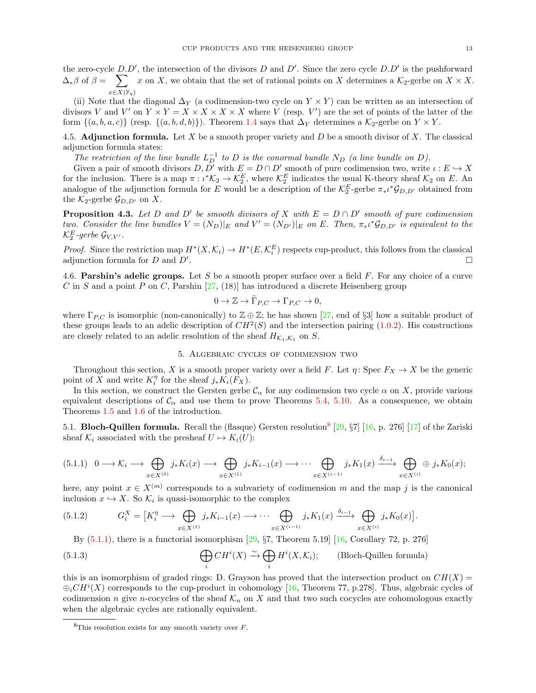the zero-cycle  $D.D'$ , the intersection of the divisors D and D'. Since the zero cycle  $D.D'$  is the pushforward  $\Delta_*\beta$  of  $\beta = \sum x$  on X, we obtain that the set of rational points on X determines a  $\mathcal{K}_2$ -gerbe on  $X \times X$ .  $x\in X(\mathbb{F}_q)$ 

(ii) Note that the diagonal  $\Delta_Y$  (a codimension-two cycle on  $Y \times Y$ ) can be written as an intersection of divisors V and V' on  $Y \times Y = X \times X \times X \times X$  where V (resp. V') are the set of points of the latter of the form  $\{(a, b, a, c)\}$  (resp.  $\{(a, b, d, b)\}\)$ . Theorem [1.4](#page-2-2) says that  $\Delta_Y$  determines a  $\mathcal{K}_2$ -gerbe on  $Y \times Y$ .

<span id="page-12-0"></span>4.5. Adjunction formula. Let X be a smooth proper variety and  $D$  be a smooth divisor of X. The classical adjunction formula states:

The restriction of the line bundle  $L_D^{-1}$  to D is the conormal bundle  $N_D$  (a line bundle on D).

Given a pair of smooth divisors  $D, \overline{D}'$  with  $E = D \cap D'$  smooth of pure codimension two, write  $\iota : E \hookrightarrow X$ for the inclusion. There is a map  $\pi : \iota^* \mathcal{K}_2 \to \mathcal{K}_2^E$ , where  $\mathcal{K}_2^E$  indicates the usual K-theory sheaf  $\mathcal{K}_2$  on E. An analogue of the adjunction formula for E would be a description of the  $\mathcal{K}_2^E$ -gerbe  $\pi_* \iota^* \mathcal{G}_{D,D'}$  obtained from the  $\mathcal{K}_2$ -gerbe  $\mathcal{G}_{D,D'}$  on X.

**Proposition 4.3.** Let D and D' be smooth divisors of X with  $E = D \cap D'$  smooth of pure codimension two. Consider the line bundles  $V = (N_D)|_E$  and  $V' = (N_{D'})|_E$  on E. Then,  $\pi_* \iota^* \mathcal{G}_{D,D'}$  is equivalent to the  $\mathcal{K}^E_2$ -gerbe  $\mathcal{G}_{V,V'}$  .

*Proof.* Since the restriction map  $H^*(X, \mathcal{K}_i) \to H^*(E, \mathcal{K}_i^E)$  respects cup-product, this follows from the classical adjunction formula for  $D$  and  $D'$ . .

<span id="page-12-1"></span>4.6. **Parshin's adelic groups.** Let S be a smooth proper surface over a field F. For any choice of a curve C in S and a point P on C, Parshin  $[27, (18)]$  has introduced a discrete Heisenberg group

$$
0 \to \mathbb{Z} \to \tilde{\Gamma}_{P,C} \to \Gamma_{P,C} \to 0,
$$

where  $\Gamma_{P,C}$  is isomorphic (non-canonically) to  $\mathbb{Z} \oplus \mathbb{Z}$ ; he has shown [\[27,](#page-18-10) end of §3] how a suitable product of these groups leads to an adelic description of  $CH^2(S)$  and the intersection pairing [\(1.0.2\)](#page-1-6). His constructions are closely related to an adelic resolution of the sheaf  $H_{\mathcal{K}_1,\mathcal{K}_1}$  on S.

#### 5. Algebraic cycles of codimension two

<span id="page-12-2"></span>Throughout this section, X is a smooth proper variety over a field F. Let  $\eta$ : Spec  $F_X \to X$  be the generic point of X and write  $K_i^{\eta}$  for the sheaf  $j_*K_i(F_X)$ .

In this section, we construct the Gersten gerbe  $\mathcal{C}_{\alpha}$  for any codimension two cycle  $\alpha$  on X, provide various equivalent descriptions of  $\mathcal{C}_{\alpha}$  and use them to prove Theorems [5.4,](#page-14-1) [5.10.](#page-16-1) As a consequence, we obtain Theorems [1.5](#page-2-3) and [1.6](#page-3-1) of the introduction.

<span id="page-12-3"></span>5.1. **Bloch-Quillen formula.** Recall the (flasque) Gersten resolution<sup>[8](#page-12-7)</sup> [\[29,](#page-19-2)  $\S7$ ] [\[16,](#page-18-24) p. 276] [\[17\]](#page-18-25) of the Zariski sheaf  $\mathcal{K}_i$  associated with the presheaf  $U \mapsto K_i(U)$ :

<span id="page-12-5"></span>
$$
(5.1.1) \quad 0 \longrightarrow \mathcal{K}_i \longrightarrow \bigoplus_{x \in X^{(0)}} j_* K_i(x) \longrightarrow \bigoplus_{x \in X^{(1)}} j_* K_{i-1}(x) \longrightarrow \cdots \bigoplus_{x \in X^{(i-1)}} j_* K_1(x) \xrightarrow{\delta_{i-1}} \bigoplus_{x \in X^{(i)}} \oplus j_* K_0(x);
$$

here, any point  $x \in X^{(m)}$  corresponds to a subvariety of codimension m and the map j is the canonical inclusion  $x \hookrightarrow X$ . So  $\mathcal{K}_i$  is quasi-isomorphic to the complex

$$
(5.1.2) \tG_i^X = \left[K_i^\eta \longrightarrow \bigoplus_{x \in X^{(1)}} j_* K_{i-1}(x) \longrightarrow \cdots \bigoplus_{x \in X^{(i-1)}} j_* K_1(x) \xrightarrow{\delta_{i-1}} \bigoplus_{x \in X^{(i)}} j_* K_0(x)\right]
$$

<span id="page-12-6"></span><span id="page-12-4"></span>By  $(5.1.1)$ , there is a functorial isomorphism  $[29, §7,$  Theorem 5.19] [\[16,](#page-18-24) Corollary 72, p. 276]

(5.1.3) 
$$
\bigoplus_{i} CH^{i}(X) \xrightarrow{\sim} \bigoplus_{i} H^{i}(X, \mathcal{K}_{i});
$$
 (Bloch-Quillen formula)

this is an isomorphism of graded rings: D. Grayson has proved that the intersection product on  $CH(X)$  =  $\bigoplus_i CH^i(X)$  corresponds to the cup-product in cohomology [\[16,](#page-18-24) Theorem 77, p.278]. Thus, algebraic cycles of codimension n give n-cocycles of the sheaf  $\mathcal{K}_n$  on X and that two such cocycles are cohomologous exactly when the algebraic cycles are rationally equivalent.

.

<span id="page-12-7"></span> ${}^{8}$ This resolution exists for any smooth variety over F.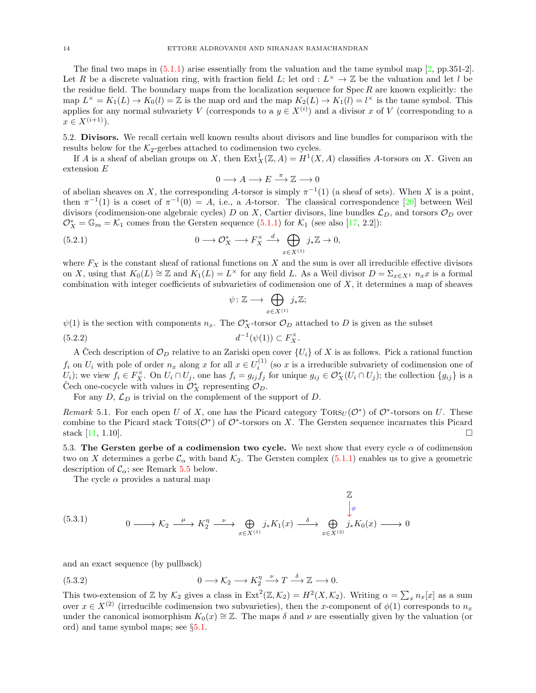The final two maps in  $(5.1.1)$  arise essentially from the valuation and the tame symbol map  $[2, pp.351-2]$ . Let R be a discrete valuation ring, with fraction field L; let ord :  $L^{\times} \to \mathbb{Z}$  be the valuation and let l be the residue field. The boundary maps from the localization sequence for  $\text{Spec } R$  are known explicitly: the map  $L^{\times} = K_1(L) \to K_0(l) = \mathbb{Z}$  is the map ord and the map  $K_2(L) \to K_1(l) = l^{\times}$  is the tame symbol. This applies for any normal subvariety V (corresponds to a  $y \in X^{(i)}$ ) and a divisor x of V (corresponding to a  $x \in X^{(i+1)}$ .

<span id="page-13-0"></span>5.2. Divisors. We recall certain well known results about divisors and line bundles for comparison with the results below for the  $K_2$ -gerbes attached to codimension two cycles.

If A is a sheaf of abelian groups on X, then  $Ext_X^1(\mathbb{Z}, A) = H^1(X, A)$  classifies A-torsors on X. Given an extension E

<span id="page-13-2"></span>
$$
0\longrightarrow A\longrightarrow E\stackrel{\pi}{\longrightarrow}\mathbb{Z}\longrightarrow 0
$$

of abelian sheaves on X, the corresponding A-torsor is simply  $\pi^{-1}(1)$  (a sheaf of sets). When X is a point, then  $\pi^{-1}(1)$  is a coset of  $\pi^{-1}(0) = A$ , i.e., a A-torsor. The classical correspondence [\[20\]](#page-18-4) between Weil divisors (codimension-one algebraic cycles) D on X, Cartier divisors, line bundles  $\mathcal{L}_D$ , and torsors  $\mathcal{O}_D$  over  $\mathcal{O}_X^* = \mathbb{G}_m = \mathcal{K}_1$  comes from the Gersten sequence [\(5.1.1\)](#page-12-5) for  $\mathcal{K}_1$  (see also [\[17,](#page-18-25) 2.2]):

(5.2.1) 
$$
0 \longrightarrow \mathcal{O}_X^* \longrightarrow F_X^{\times} \stackrel{d}{\longrightarrow} \bigoplus_{x \in X^{(1)}} j_* \mathbb{Z} \longrightarrow 0,
$$

where  $F_X$  is the constant sheaf of rational functions on X and the sum is over all irreducible effective divisors on X, using that  $K_0(L) \cong \mathbb{Z}$  and  $K_1(L) = L^{\times}$  for any field L. As a Weil divisor  $D = \sum_{x \in X^1} n_x x$  is a formal combination with integer coefficients of subvarieties of codimension one of  $X$ , it determines a map of sheaves

$$
\psi \colon \mathbb{Z} \longrightarrow \bigoplus_{x \in X^{(1)}} j_* \mathbb{Z};
$$

 $\psi(1)$  is the section with components  $n_x$ . The  $\mathcal{O}_X^*$ -torsor  $\mathcal{O}_D$  attached to D is given as the subset

$$
(5.2.2) \t\t d^{-1}(\psi(1)) \subset F_X^\times.
$$

A Čech description of  $\mathcal{O}_D$  relative to an Zariski open cover  $\{U_i\}$  of X is as follows. Pick a rational function  $f_i$  on  $U_i$  with pole of order  $n_x$  along x for all  $x \in U_i^{(1)}$  (so x is a irreducible subvariety of codimension one of  $U_i$ ; we view  $f_i \in F_X^{\times}$ . On  $U_i \cap U_j$ , one has  $f_i = g_{ij} f_j$  for unique  $g_{ij} \in \mathcal{O}_X^*(U_i \cap U_j)$ ; the collection  $\{g_{ij}\}\$ is a Čech one-cocycle with values in  $\mathcal{O}_X^*$  representing  $\mathcal{O}_D$ .

For any  $D, \mathcal{L}_D$  is trivial on the complement of the support of D.

<span id="page-13-5"></span>Remark 5.1. For each open U of X, one has the Picard category  $TORS_U(\mathcal{O}^*)$  of  $\mathcal{O}^*$ -torsors on U. These combine to the Picard stack  $TORS(\mathcal{O}^*)$  of  $\mathcal{O}^*$ -torsors on X. The Gersten sequence incarnates this Picard stack  $[11, 1.10]$ .

<span id="page-13-1"></span>5.3. The Gersten gerbe of a codimension two cycle. We next show that every cycle  $\alpha$  of codimension two on X determines a gerbe  $\mathcal{C}_{\alpha}$  with band  $\mathcal{K}_2$ . The Gersten complex [\(5.1.1\)](#page-12-5) enables us to give a geometric description of  $\mathcal{C}_{\alpha}$ ; see Remark [5.5](#page-14-0) below.

<span id="page-13-3"></span>The cycle  $\alpha$  provides a natural map

$$
(5.3.1)
$$
\n
$$
0 \longrightarrow K_2 \longrightarrow K_2^n \longrightarrow K_2^n \longrightarrow \bigoplus_{x \in X^{(1)}} j_* K_1(x) \longrightarrow \bigoplus_{x \in X^{(2)}} j_* K_0(x) \longrightarrow 0
$$

and an exact sequence (by pullback)

<span id="page-13-4"></span>(5.3.2) 
$$
0 \longrightarrow \mathcal{K}_2 \longrightarrow K_2^{\eta} \longrightarrow T \longrightarrow^{\delta} \mathbb{Z} \longrightarrow 0.
$$

This two-extension of Z by  $\mathcal{K}_2$  gives a class in  $\text{Ext}^2(\mathbb{Z}, \mathcal{K}_2) = H^2(X, \mathcal{K}_2)$ . Writing  $\alpha = \sum_x n_x[x]$  as a sum over  $x \in X^{(2)}$  (irreducible codimension two subvarieties), then the x-component of  $\phi(1)$  corresponds to  $n_x$ under the canonical isomorphism  $K_0(x) \cong \mathbb{Z}$ . The maps  $\delta$  and  $\nu$  are essentially given by the valuation (or ord) and tame symbol maps; see §[5.1.](#page-12-3)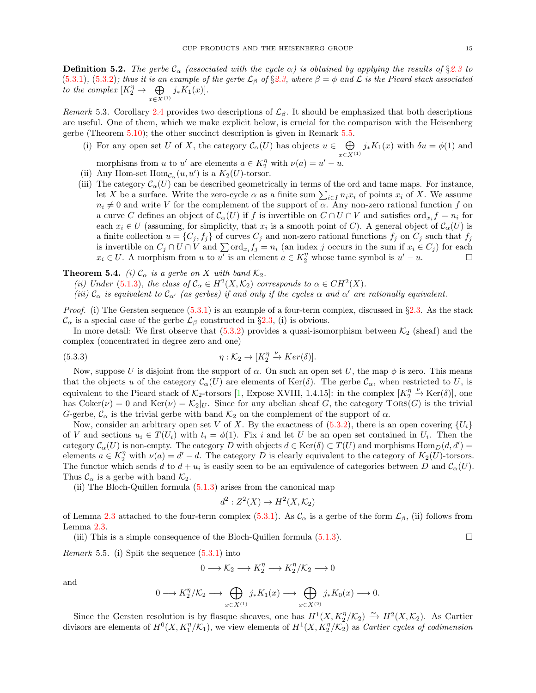**Definition 5.2.** The gerbe  $\mathcal{C}_{\alpha}$  (associated with the cycle  $\alpha$ ) is obtained by applying the results of §[2.3](#page-5-1) to  $(5.3.1), (5.3.2)$  $(5.3.1), (5.3.2)$  $(5.3.1), (5.3.2)$ ; thus it is an example of the gerbe  $\mathcal{L}_{\beta}$  of  $\S 2.3$ , where  $\beta = \phi$  and  $\mathcal{L}$  is the Picard stack associated to the complex  $[K_2^{\eta} \rightarrow \Theta]$  $x \in X^{(1)}$  $j_*K_1(x)].$ 

Remark 5.3. Corollary [2.4](#page-7-4) provides two descriptions of  $\mathcal{L}_{\beta}$ . It should be emphasized that both descriptions are useful. One of them, which we make explicit below, is crucial for the comparison with the Heisenberg gerbe (Theorem [5.10\)](#page-16-1); the other succinct description is given in Remark [5.5.](#page-14-0)

- (i) For any open set U of X, the category  $\mathcal{C}_{\alpha}(U)$  has objects  $u \in \bigoplus$  $x \in X^{(1)}$  $j_*K_1(x)$  with  $\delta u = \phi(1)$  and
- morphisms from u to u' are elements  $a \in K_2^{\eta}$  with  $\nu(a) = u' u$ .
- (ii) Any Hom-set  $\text{Hom}_{\mathcal{C}_{\alpha}}(u, u')$  is a  $K_2(U)$ -torsor.
- (iii) The category  $\mathcal{C}_{\alpha}(U)$  can be described geometrically in terms of the ord and tame maps. For instance, let X be a surface. Write the zero-cycle  $\alpha$  as a finite sum  $\sum_{i\in I} n_i x_i$  of points  $x_i$  of X. We assume  $n_i \neq 0$  and write V for the complement of the support of  $\alpha$ . Any non-zero rational function f on a curve C defines an object of  $\mathcal{C}_{\alpha}(U)$  if f is invertible on  $C \cap U \cap V$  and satisfies  $\text{ord}_{x_i} f = n_i$  for each  $x_i \in U$  (assuming, for simplicity, that  $x_i$  is a smooth point of C). A general object of  $\mathcal{C}_{\alpha}(U)$  is a finite collection  $u = \{C_j, f_j\}$  of curves  $C_j$  and non-zero rational functions  $f_j$  on  $C_j$  such that  $f_j$ is invertible on  $C_j \cap U \cap V$  and  $\sum \text{ord}_{x_i} f_j = n_i$  (an index j occurs in the sum if  $x_i \in C_j$ ) for each  $x_i \in U$ . A morphism from u to u' is an element  $a \in K_2^{\eta}$  whose tame symbol is  $u' - u$ .

<span id="page-14-1"></span>**Theorem 5.4.** (i)  $\mathcal{C}_{\alpha}$  is a gerbe on X with band  $\mathcal{K}_2$ .

- (ii) Under [\(5.1.3\)](#page-12-4), the class of  $\mathcal{C}_{\alpha} \in H^2(X, \mathcal{K}_2)$  corresponds to  $\alpha \in CH^2(X)$ .
- (iii)  $C_{\alpha}$  is equivalent to  $C_{\alpha'}$  (as gerbes) if and only if the cycles  $\alpha$  and  $\alpha'$  are rationally equivalent.

*Proof.* (i) The Gersten sequence  $(5.3.1)$  is an example of a four-term complex, discussed in  $\S 2.3$ . As the stack  $\mathcal{C}_{\alpha}$  is a special case of the gerbe  $\mathcal{L}_{\beta}$  constructed in §[2.3,](#page-5-1) (i) is obvious.

In more detail: We first observe that  $(5.3.2)$  provides a quasi-isomorphism between  $\mathcal{K}_2$  (sheaf) and the complex (concentrated in degree zero and one)

(5.3.3) 
$$
\eta : \mathcal{K}_2 \to [K_2^{\eta} \xrightarrow{\nu} Ker(\delta)].
$$

Now, suppose U is disjoint from the support of  $\alpha$ . On such an open set U, the map  $\phi$  is zero. This means that the objects u of the category  $\mathcal{C}_{\alpha}(U)$  are elements of Ker( $\delta$ ). The gerbe  $\mathcal{C}_{\alpha}$ , when restricted to U, is equivalent to the Picard stack of  $\mathcal{K}_2$ -torsors [\[1,](#page-18-27) Expose XVIII, 1.4.15]: in the complex  $[K_2^{\eta} \stackrel{\nu}{\to} \text{Ker}(\delta)]$ , one has  $Coker(\nu) = 0$  and  $Ker(\nu) = K_2|_U$ . Since for any abelian sheaf G, the category  $Tors(G)$  is the trivial G-gerbe,  $\mathcal{C}_{\alpha}$  is the trivial gerbe with band  $\mathcal{K}_{2}$  on the complement of the support of  $\alpha$ .

Now, consider an arbitrary open set V of X. By the exactness of  $(5.3.2)$ , there is an open covering  $\{U_i\}$ of V and sections  $u_i \in T(U_i)$  with  $t_i = \phi(1)$ . Fix i and let U be an open set contained in  $U_i$ . Then the category  $\mathcal{C}_{\alpha}(U)$  is non-empty. The category D with objects  $d \in \text{Ker}(\delta) \subset T(U)$  and morphisms  $\text{Hom}_D(d, d') =$ elements  $a \in K_2^{\eta}$  with  $\nu(a) = d' - d$ . The category D is clearly equivalent to the category of  $K_2(U)$ -torsors. The functor which sends d to  $d + u_i$  is easily seen to be an equivalence of categories between D and  $\mathcal{C}_{\alpha}(U)$ . Thus  $\mathcal{C}_{\alpha}$  is a gerbe with band  $\mathcal{K}_{2}$ .

(ii) The Bloch-Quillen formula [\(5.1.3\)](#page-12-4) arises from the canonical map

<span id="page-14-2"></span>
$$
d^2: Z^2(X) \to H^2(X, \mathcal{K}_2)
$$

of Lemma [2.3](#page-6-2) attached to the four-term complex [\(5.3.1\)](#page-13-3). As  $\mathcal{C}_{\alpha}$  is a gerbe of the form  $\mathcal{L}_{\beta}$ , (ii) follows from Lemma [2.3.](#page-6-2)

(iii) This is a simple consequence of the Bloch-Quillen formula  $(5.1.3)$ .

<span id="page-14-0"></span>*Remark* 5.5. (i) Split the sequence  $(5.3.1)$  into

$$
0 \longrightarrow \mathcal{K}_2 \longrightarrow K_2^{\eta} \longrightarrow K_2^{\eta}/\mathcal{K}_2 \longrightarrow 0
$$

and

$$
0 \longrightarrow K_2^{\eta}/\mathcal{K}_2 \longrightarrow \bigoplus_{x \in X^{(1)}} j_*K_1(x) \longrightarrow \bigoplus_{x \in X^{(2)}} j_*K_0(x) \longrightarrow 0.
$$

Since the Gersten resolution is by flasque sheaves, one has  $H^1(X, K_2^n/\mathcal{K}_2) \xrightarrow{\sim} H^2(X, \mathcal{K}_2)$ . As Cartier divisors are elements of  $H^0(X, K_1^n/\mathcal{K}_1)$ , we view elements of  $H^1(X, K_2^n/\mathcal{K}_2)$  as *Cartier cycles of codimension*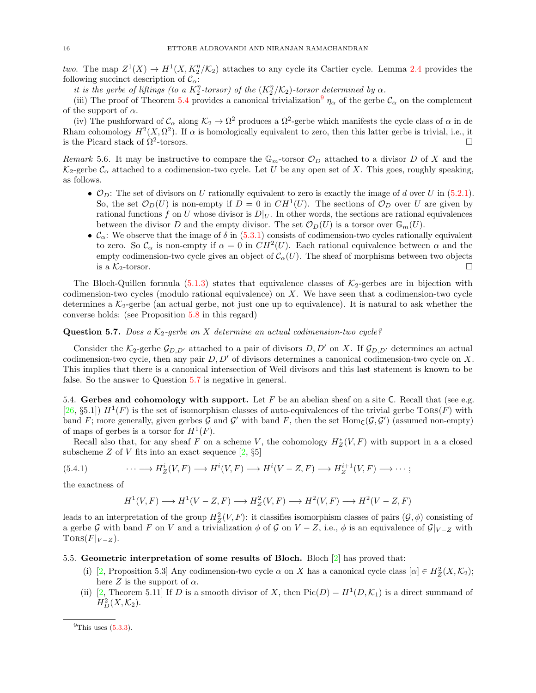two. The map  $Z^1(X) \to H^1(X, K_2^n/\mathcal{K}_2)$  attaches to any cycle its Cartier cycle. Lemma [2.4](#page-7-4) provides the following succinct description of  $\mathcal{C}_{\alpha}$ :

it is the gerbe of liftings (to a  $K_2^{\eta}$ -torsor) of the  $(K_2^{\eta}/K_2)$ -torsor determined by  $\alpha$ .

(iii) The proof of Theorem [5.4](#page-14-1) provides a canonical trivialization  $\eta_{\alpha}$  of the gerbe  $\mathcal{C}_{\alpha}$  on the complement of the support of  $\alpha$ .

(iv) The pushforward of  $C_{\alpha}$  along  $\mathcal{K}_{2} \to \Omega^2$  produces a  $\Omega^2$ -gerbe which manifests the cycle class of  $\alpha$  in de Rham cohomology  $H^2(X, \Omega^2)$ . If  $\alpha$  is homologically equivalent to zero, then this latter gerbe is trivial, i.e., it is the Picard stack of  $\Omega^2$ -torsors. -torsors.

<span id="page-15-2"></span>Remark 5.6. It may be instructive to compare the  $\mathbb{G}_m$ -torsor  $\mathcal{O}_D$  attached to a divisor D of X and the  $\mathcal{K}_2$ -gerbe  $\mathcal{C}_{\alpha}$  attached to a codimension-two cycle. Let U be any open set of X. This goes, roughly speaking, as follows.

- $\mathcal{O}_D$ : The set of divisors on U rationally equivalent to zero is exactly the image of d over U in [\(5.2.1\)](#page-13-2). So, the set  $\mathcal{O}_D(U)$  is non-empty if  $D = 0$  in  $CH^1(U)$ . The sections of  $\mathcal{O}_D$  over U are given by rational functions f on U whose divisor is  $D|_U$ . In other words, the sections are rational equivalences between the divisor D and the empty divisor. The set  $\mathcal{O}_D(U)$  is a torsor over  $\mathbb{G}_m(U)$ .
- $\mathcal{C}_{\alpha}$ : We observe that the image of  $\delta$  in [\(5.3.1\)](#page-13-3) consists of codimension-two cycles rationally equivalent to zero. So  $\mathcal{C}_{\alpha}$  is non-empty if  $\alpha = 0$  in  $CH^2(U)$ . Each rational equivalence between  $\alpha$  and the empty codimension-two cycle gives an object of  $C_\alpha(U)$ . The sheaf of morphisms between two objects is a  $\mathcal{K}_2$ -torsor.

The Bloch-Quillen formula [\(5.1.3\)](#page-12-4) states that equivalence classes of  $K_2$ -gerbes are in bijection with codimension-two cycles (modulo rational equivalence) on  $X$ . We have seen that a codimension-two cycle determines a  $K_2$ -gerbe (an actual gerbe, not just one up to equivalence). It is natural to ask whether the converse holds: (see Proposition [5.8](#page-16-2) in this regard)

# <span id="page-15-4"></span>**Question 5.7.** Does a  $K_2$ -gerbe on X determine an actual codimension-two cycle?

Consider the  $K_2$ -gerbe  $\mathcal{G}_{D,D'}$  attached to a pair of divisors D, D' on X. If  $\mathcal{G}_{D,D'}$  determines an actual codimension-two cycle, then any pair  $D, D'$  of divisors determines a canonical codimension-two cycle on X. This implies that there is a canonical intersection of Weil divisors and this last statement is known to be false. So the answer to Question [5.7](#page-15-4) is negative in general.

<span id="page-15-0"></span>5.4. Gerbes and cohomology with support. Let  $F$  be an abelian sheaf on a site C. Recall that (see e.g. [\[26,](#page-18-28) §5.1])  $H^1(F)$  is the set of isomorphism classes of auto-equivalences of the trivial gerbe  $TORS(F)$  with band F; more generally, given gerbes G and G' with band F, then the set  $Hom_C(\mathcal{G}, \mathcal{G}')$  (assumed non-empty) of maps of gerbes is a torsor for  $H^1(F)$ .

Recall also that, for any sheaf F on a scheme V, the cohomology  $H_Z^*(V, F)$  with support in a a closed subscheme Z of V fits into an exact sequence  $[2, §5]$ 

(5.4.1) 
$$
\cdots \longrightarrow H_Z^i(V,F) \longrightarrow H^i(V,F) \longrightarrow H^i(V-Z,F) \longrightarrow H_Z^{i+1}(V,F) \longrightarrow \cdots;
$$

the exactness of

$$
H^1(V, F) \longrightarrow H^1(V - Z, F) \longrightarrow H^2_Z(V, F) \longrightarrow H^2(V, F) \longrightarrow H^2(V - Z, F)
$$

leads to an interpretation of the group  $H_Z^2(V, F)$ : it classifies isomorphism classes of pairs  $(\mathcal{G}, \phi)$  consisting of a gerbe G with band F on V and a trivialization  $\phi$  of G on V – Z, i.e.,  $\phi$  is an equivalence of  $\mathcal{G}|_{V-Z}$  with TORS $(F|_{V-Z})$ .

#### <span id="page-15-5"></span><span id="page-15-1"></span>5.5. Geometric interpretation of some results of Bloch. Bloch  $|2|$  has proved that:

- (i) [\[2,](#page-18-6) Proposition 5.3] Any codimension-two cycle  $\alpha$  on X has a canonical cycle class  $[\alpha] \in H^2_Z(X, \mathcal{K}_2)$ ; here Z is the support of  $\alpha$ .
- <span id="page-15-6"></span>(ii) [\[2,](#page-18-6) Theorem 5.11] If D is a smooth divisor of X, then  $Pic(D) = H^1(D, \mathcal{K}_1)$  is a direct summand of  $H_D^2(X, \mathcal{K}_2).$

<span id="page-15-3"></span> $^{9}$ This uses  $(5.3.3)$ .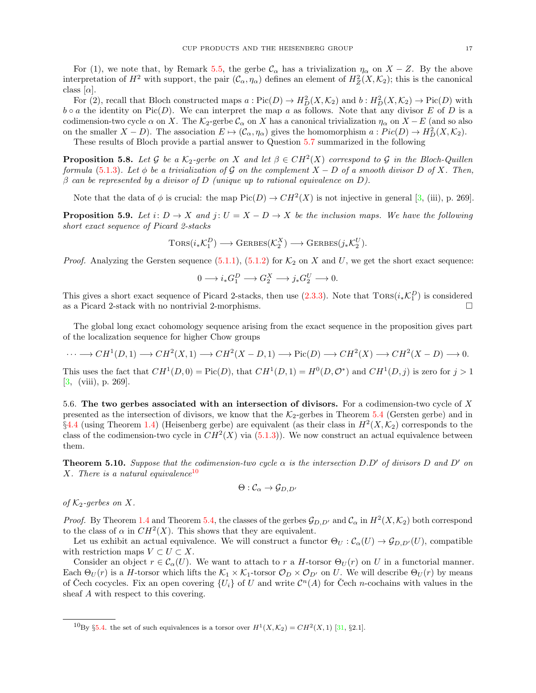For (1), we note that, by Remark [5.5,](#page-14-0) the gerbe  $\mathcal{C}_{\alpha}$  has a trivialization  $\eta_{\alpha}$  on  $X - Z$ . By the above interpretation of  $H^2$  with support, the pair  $(\mathcal{C}_{\alpha}, \eta_{\alpha})$  defines an element of  $H_Z^2(X, \mathcal{K}_2)$ ; this is the canonical class  $[\alpha]$ .

For (2), recall that Bloch constructed maps  $a: Pic(D) \to H_D^2(X, \mathcal{K}_2)$  and  $b: H_D^2(X, \mathcal{K}_2) \to Pic(D)$  with  $b \circ a$  the identity on Pic(D). We can interpret the map a as follows. Note that any divisor E of D is a codimension-two cycle  $\alpha$  on X. The K<sub>2</sub>-gerbe  $\mathcal{C}_{\alpha}$  on X has a canonical trivialization  $\eta_{\alpha}$  on X − E (and so also on the smaller  $X - D$ ). The association  $E \mapsto (\mathcal{C}_{\alpha}, \eta_{\alpha})$  gives the homomorphism  $a : Pic(D) \to H_D^2(X, \mathcal{K}_2)$ .

These results of Bloch provide a partial answer to Question [5.7](#page-15-4) summarized in the following

<span id="page-16-2"></span>**Proposition 5.8.** Let G be a  $K_2$ -gerbe on X and let  $\beta \in CH^2(X)$  correspond to G in the Bloch-Quillen formula [\(5.1.3\)](#page-12-4). Let  $\phi$  be a trivialization of G on the complement  $X - D$  of a smooth divisor D of X. Then,  $\beta$  can be represented by a divisor of D (unique up to rational equivalence on D).

Note that the data of  $\phi$  is crucial: the map  $Pic(D) \to CH^2(X)$  is not injective in general [\[3,](#page-18-5) (iii), p. 269].

<span id="page-16-4"></span>**Proposition 5.9.** Let i:  $D \to X$  and j:  $U = X - D \to X$  be the inclusion maps. We have the following short exact sequence of Picard 2-stacks

$$
\text{Tors}(i_*\mathcal{K}^D_1) \longrightarrow \text{Gerbes}(\mathcal{K}^X_2) \longrightarrow \text{Gerbes}(j_*\mathcal{K}^U_2).
$$

*Proof.* Analyzing the Gersten sequence  $(5.1.1)$ ,  $(5.1.2)$  for  $\mathcal{K}_2$  on X and U, we get the short exact sequence:

$$
0\longrightarrow i_{\ast}G_{1}^{D}\longrightarrow G_{2}^{X}\longrightarrow j_{\ast}G_{2}^{U}\longrightarrow 0.
$$

This gives a short exact sequence of Picard 2-stacks, then use  $(2.3.3)$ . Note that  $Tors(i_{*}\mathcal{K}_{1}^{D})$  is considered as a Picard 2-stack with no nontrivial 2-morphisms.  $\square$ 

The global long exact cohomology sequence arising from the exact sequence in the proposition gives part of the localization sequence for higher Chow groups

$$
\cdots \longrightarrow CH^1(D,1) \longrightarrow CH^2(X,1) \longrightarrow CH^2(X-D,1) \longrightarrow Pic(D) \longrightarrow CH^2(X) \longrightarrow CH^2(X-D) \longrightarrow 0.
$$

This uses the fact that  $CH^1(D, 0) = Pic(D)$ , that  $CH^1(D, 1) = H^0(D, \mathcal{O}^*)$  and  $CH^1(D, j)$  is zero for  $j > 1$ [\[3,](#page-18-5) (viii), p. 269].

<span id="page-16-0"></span>5.6. The two gerbes associated with an intersection of divisors. For a codimension-two cycle of X presented as the intersection of divisors, we know that the  $K_{2}$ -gerbes in Theorem [5.4](#page-14-1) (Gersten gerbe) and in  $\S4.4$  $\S4.4$  (using Theorem [1.4\)](#page-2-2) (Heisenberg gerbe) are equivalent (as their class in  $H^2(X, \mathcal{K}_2)$  corresponds to the class of the codimension-two cycle in  $CH^2(X)$  via  $(5.1.3)$ ). We now construct an actual equivalence between them.

<span id="page-16-1"></span>**Theorem 5.10.** Suppose that the codimension-two cycle  $\alpha$  is the intersection D.D' of divisors D and D' on X. There is a natural equivalence<sup>[10](#page-16-3)</sup>

$$
\Theta: \mathcal{C}_{\alpha} \to \mathcal{G}_{D,D'}
$$

of  $K_2$ -gerbes on X.

*Proof.* By Theorem [1.4](#page-2-2) and Theorem [5.4,](#page-14-1) the classes of the gerbes  $\mathcal{G}_{D,D'}$  and  $\mathcal{C}_{\alpha}$  in  $H^2(X,\mathcal{K}_2)$  both correspond to the class of  $\alpha$  in  $CH^2(X)$ . This shows that they are equivalent.

Let us exhibit an actual equivalence. We will construct a functor  $\Theta_U : C_{\alpha}(U) \to \mathcal{G}_{D,D'}(U)$ , compatible with restriction maps  $V \subset U \subset X$ .

Consider an object  $r \in \mathcal{C}_{\alpha}(U)$ . We want to attach to r a H-torsor  $\Theta_U(r)$  on U in a functorial manner. Each  $\Theta_U(r)$  is a H-torsor which lifts the  $\mathcal{K}_1 \times \mathcal{K}_1$ -torsor  $\mathcal{O}_D \times \mathcal{O}_{D'}$  on U. We will describe  $\Theta_U(r)$  by means of Čech cocycles. Fix an open covering  $\{U_i\}$  of U and write  $\mathcal{C}^n(A)$  for Čech *n*-cochains with values in the sheaf A with respect to this covering.

<span id="page-16-3"></span><sup>&</sup>lt;sup>10</sup>By §[5.4.](#page-15-0) the set of such equivalences is a torsor over  $H^1(X, \mathcal{K}_2) = CH^2(X, 1)$  [\[31,](#page-19-3) §2.1].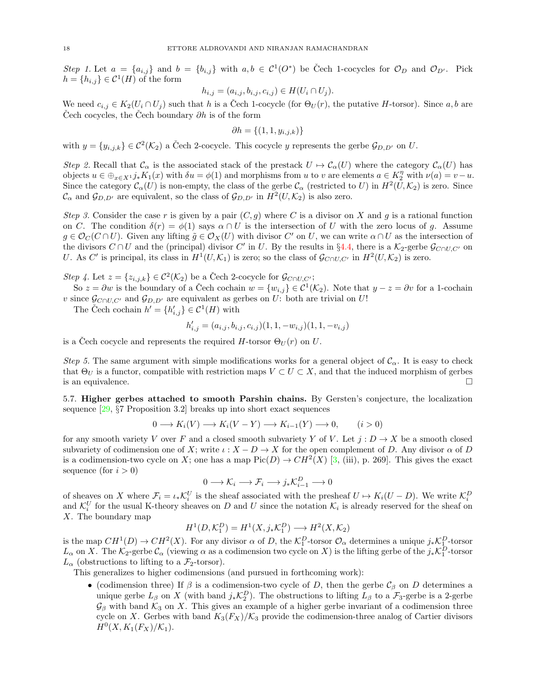Step 1. Let  $a = \{a_{i,j}\}\$ and  $b = \{b_{i,j}\}\$  with  $a, b \in C^1(O^*)$  be Čech 1-cocycles for  $\mathcal{O}_D$  and  $\mathcal{O}_{D'}$ . Pick  $h = \{h_{i,j}\} \in \mathcal{C}^1(H)$  of the form

$$
h_{i,j} = (a_{i,j}, b_{i,j}, c_{i,j}) \in H(U_i \cap U_j).
$$

We need  $c_{i,j} \in K_2(U_i \cap U_j)$  such that h is a Čech 1-cocycle (for  $\Theta_U(r)$ , the putative H-torsor). Since a, b are Cech cocycles, the Cech boundary  $\partial h$  is of the form

$$
\partial h = \{(1,1,y_{i,j,k})\}
$$

with  $y = \{y_{i,j,k}\} \in C^2(\mathcal{K}_2)$  a Čech 2-cocycle. This cocycle y represents the gerbe  $\mathcal{G}_{D,D'}$  on U.

Step 2. Recall that  $\mathcal{C}_{\alpha}$  is the associated stack of the prestack  $U \mapsto \mathcal{C}_{\alpha}(U)$  where the category  $\mathcal{C}_{\alpha}(U)$  has objects  $u \in \bigoplus_{x \in X} i^* K_1(x)$  with  $\delta u = \phi(1)$  and morphisms from u to v are elements  $a \in K_2^{\eta}$  with  $\nu(a) = v - u$ . Since the category  $\mathcal{C}_{\alpha}(U)$  is non-empty, the class of the gerbe  $\mathcal{C}_{\alpha}$  (restricted to U) in  $H^2(U,\mathcal{K}_2)$  is zero. Since  $\mathcal{C}_{\alpha}$  and  $\mathcal{G}_{D,D'}$  are equivalent, so the class of  $\mathcal{G}_{D,D'}$  in  $H^2(U,\mathcal{K}_2)$  is also zero.

Step 3. Consider the case r is given by a pair  $(C, g)$  where C is a divisor on X and g is a rational function on C. The condition  $\delta(r) = \phi(1)$  says  $\alpha \cap U$  is the intersection of U with the zero locus of g. Assume  $g \in \mathcal{O}_C(C \cap U)$ . Given any lifting  $\tilde{g} \in \mathcal{O}_X(U)$  with divisor  $C'$  on U, we can write  $\alpha \cap U$  as the intersection of the divisors  $C \cap U$  and the (principal) divisor C' in U. By the results in §[4.4,](#page-11-3) there is a  $\mathcal{K}_2$ -gerbe  $\mathcal{G}_{C \cap U, C'}$  on U. As C' is principal, its class in  $H^1(U, \mathcal{K}_1)$  is zero; so the class of  $\mathcal{G}_{C \cap U, C'}$  in  $H^2(U, \mathcal{K}_2)$  is zero.

Step 4. Let  $z = \{z_{i,j,k}\}\in \mathcal{C}^2(\mathcal{K}_2)$  be a Čech 2-cocycle for  $\mathcal{G}_{C \cap U, C'}$ ;

So  $z = \partial w$  is the boundary of a Čech cochain  $w = \{w_{i,j}\} \in C^1(\mathcal{K}_2)$ . Note that  $y - z = \partial v$  for a 1-cochain v since  $\mathcal{G}_{C\cap U,C'}$  and  $\mathcal{G}_{D,D'}$  are equivalent as gerbes on U: both are trivial on U!

The Čech cochain  $h' = \{h'_{i,j}\} \in \mathcal{C}^1(H)$  with

$$
h'_{i,j} = (a_{i,j}, b_{i,j}, c_{i,j})(1, 1, -w_{i,j})(1, 1, -v_{i,j})
$$

is a Čech cocycle and represents the required  $H$ -torsor  $\Theta_U(r)$  on  $U$ .

Step 5. The same argument with simple modifications works for a general object of  $\mathcal{C}_{\alpha}$ . It is easy to check that  $\Theta_U$  is a functor, compatible with restriction maps  $V \subset U \subset X$ , and that the induced morphism of gerbes is an equivalence.  $\Box$ 

<span id="page-17-0"></span>5.7. Higher gerbes attached to smooth Parshin chains. By Gersten's conjecture, the localization sequence [\[29,](#page-19-2) §7 Proposition 3.2] breaks up into short exact sequences

$$
0 \longrightarrow K_i(V) \longrightarrow K_i(V - Y) \longrightarrow K_{i-1}(Y) \longrightarrow 0, \qquad (i > 0)
$$

for any smooth variety V over F and a closed smooth subvariety Y of V. Let  $j: D \to X$  be a smooth closed subvariety of codimension one of X; write  $\iota : X - D \to X$  for the open complement of D. Any divisor  $\alpha$  of D is a codimension-two cycle on X; one has a map  $Pic(D) \to CH^2(X)$  [\[3,](#page-18-5) (iii), p. 269]. This gives the exact sequence (for  $i > 0$ )

$$
0 \longrightarrow \mathcal{K}_i \longrightarrow \mathcal{F}_i \longrightarrow j_*\mathcal{K}_{i-1}^D \longrightarrow 0
$$

of sheaves on X where  $\mathcal{F}_i = \iota_* \mathcal{K}_i^U$  is the sheaf associated with the presheaf  $U \mapsto K_i(U - D)$ . We write  $\mathcal{K}_i^D$ and  $\mathcal{K}_i^U$  for the usual K-theory sheaves on D and U since the notation  $\mathcal{K}_i$  is already reserved for the sheaf on X. The boundary map

$$
H^1(D, \mathcal{K}_1^D) = H^1(X, j_*\mathcal{K}_1^D) \longrightarrow H^2(X, \mathcal{K}_2)
$$

is the map  $CH^1(D) \to CH^2(X)$ . For any divisor  $\alpha$  of D, the  $\mathcal{K}_1^D$ -torsor  $\mathcal{O}_\alpha$  determines a unique  $j_*\mathcal{K}_1^D$ -torsor  $L_{\alpha}$  on X. The  $\mathcal{K}_2$ -gerbe  $\mathcal{C}_{\alpha}$  (viewing  $\alpha$  as a codimension two cycle on X) is the lifting gerbe of the  $j_*\mathcal{K}_1^D$ -torsor  $L_{\alpha}$  (obstructions to lifting to a  $\mathcal{F}_2$ -torsor).

This generalizes to higher codimensions (and pursued in forthcoming work):

• (codimension three) If  $\beta$  is a codimension-two cycle of D, then the gerbe  $\mathcal{C}_{\beta}$  on D determines a unique gerbe  $L_\beta$  on X (with band  $j_*\mathcal{K}_2^D$ ). The obstructions to lifting  $L_\beta$  to a  $\mathcal{F}_3$ -gerbe is a 2-gerbe  $\mathcal{G}_{\beta}$  with band  $\mathcal{K}_3$  on X. This gives an example of a higher gerbe invariant of a codimension three cycle on X. Gerbes with band  $K_3(F_X)/K_3$  provide the codimension-three analog of Cartier divisors  $H^{0}(X, K_{1}(F_{X})/\mathcal{K}_{1}).$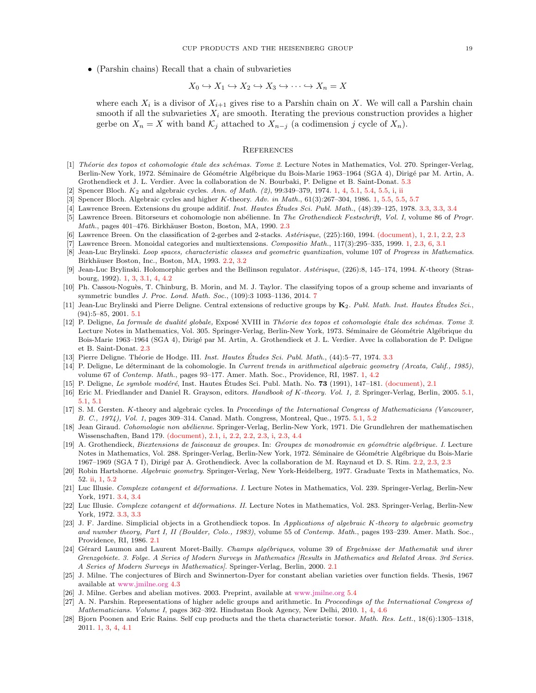• (Parshin chains) Recall that a chain of subvarieties

$$
X_0 \hookrightarrow X_1 \hookrightarrow X_2 \hookrightarrow X_3 \hookrightarrow \cdots \hookrightarrow X_n = X
$$

where each  $X_i$  is a divisor of  $X_{i+1}$  gives rise to a Parshin chain on X. We will call a Parshin chain smooth if all the subvarieties  $X_i$  are smooth. Iterating the previous construction provides a higher gerbe on  $X_n = X$  with band  $\mathcal{K}_j$  attached to  $X_{n-j}$  (a codimension j cycle of  $X_n$ ).

## <span id="page-18-3"></span>**REFERENCES**

- <span id="page-18-27"></span>[1] Théorie des topos et cohomologie étale des schémas. Tome 2. Lecture Notes in Mathematics, Vol. 270. Springer-Verlag, Berlin-New York, 1972. Séminaire de Géométrie Algébrique du Bois-Marie 1963–1964 (SGA 4), Dirigé par M. Artin, A. Grothendieck et J. L. Verdier. Avec la collaboration de N. Bourbaki, P. Deligne et B. Saint-Donat. [5.3](#page-14-2)
- <span id="page-18-6"></span>Spencer Bloch.  $K_2$  and algebraic cycles. Ann. of Math. (2), 99:349-379, 1974. [1,](#page-3-0) [4,](#page-10-1) [5.1,](#page-12-4) [5.4,](#page-15-0) [5.5,](#page-15-1) [i,](#page-15-5) [ii](#page-15-6)
- <span id="page-18-5"></span>[3] Spencer Bloch. Algebraic cycles and higher K-theory. Adv. in Math., 61(3):267–304, 1986. [1,](#page-3-0) [5.5,](#page-16-4) 5.5, [5.7](#page-17-0)
- <span id="page-18-19"></span>[4] Lawrence Breen. Extensions du groupe additif. *Inst. Hautes Études Sci. Publ. Math.*, (48):39–125, 1978. [3.3,](#page-9-1) 3.3, [3.4](#page-10-3)
- <span id="page-18-17"></span>[5] Lawrence Breen. Bitorseurs et cohomologie non abélienne. In The Grothendieck Festschrift, Vol. I, volume 86 of Progr. Math., pages 401-476. Birkhäuser Boston, Boston, MA, 1990. [2.3](#page-5-2)
- <span id="page-18-2"></span>[6] Lawrence Breen. On the classification of 2-gerbes and 2-stacks. Astérisque, (225):160, 1994. [\(document\),](#page-0-0) [1,](#page-3-0) [2.1,](#page-4-3) [2.2,](#page-5-0) [2.3](#page-5-2)
- <span id="page-18-8"></span>[7] Lawrence Breen. Monoidal categories and multiextensions. Compositio Math., 117(3):295–335, 1999. [1,](#page-3-0) [2.3,](#page-5-2) [6,](#page-6-0) [3.1](#page-8-1)
- <span id="page-18-14"></span>[8] Jean-Luc Brylinski. Loop spaces, characteristic classes and geometric quantization, volume 107 of Progress in Mathematics. Birkhäuser Boston, Inc., Boston, MA, 1993. [2.2,](#page-5-0) [3.2](#page-8-0)
- <span id="page-18-9"></span>[9] Jean-Luc Brylinski. Holomorphic gerbes and the Beĭlinson regulator. Astérisque, (226):8, 145–174, 1994. K-theory (Strasbourg, 1992). [1,](#page-3-0) [3,](#page-7-0) [3.1,](#page-7-3) [4,](#page-10-1) [4.2](#page-11-1)
- <span id="page-18-21"></span>[10] Ph. Cassou-Noguès, T. Chinburg, B. Morin, and M. J. Taylor. The classifying topos of a group scheme and invariants of symmetric bundles J. Proc. Lond. Math. Soc., (109):3 1093–1136, 2014. [7](#page-9-3)
- <span id="page-18-26"></span>[11] Jean-Luc Brylinski and Pierre Deligne. Central extensions of reductive groups by  $K_2$ . Publ. Math. Inst. Hautes Études Sci. (94):5–85, 2001. [5.1](#page-13-5)
- <span id="page-18-16"></span>[12] P. Deligne, La formule de dualité globale, Exposé XVIII in Théorie des topos et cohomologie étale des schémas. Tome 3. Lecture Notes in Mathematics, Vol. 305. Springer-Verlag, Berlin-New York, 1973. Séminaire de Géométrie Algébrique du Bois-Marie 1963–1964 (SGA 4), Dirigé par M. Artin, A. Grothendieck et J. L. Verdier. Avec la collaboration de P. Deligne et B. Saint-Donat. [2.3](#page-5-2)
- <span id="page-18-20"></span>[13] Pierre Deligne. Théorie de Hodge. III. Inst. Hautes Études Sci. Publ. Math., (44):5–77, 1974. [3.3](#page-9-0)
- <span id="page-18-7"></span>[14] P. Deligne, Le déterminant de la cohomologie. In Current trends in arithmetical algebraic geometry (Arcata, Calif., 1985), volume 67 of Contemp. Math., pages 93–177. Amer. Math. Soc., Providence, RI, 1987. [1,](#page-3-0) [4.2](#page-11-1)
- <span id="page-18-1"></span>[15] P. Deligne, Le symbole modéré, Inst. Hautes Études Sci. Publ. Math. No.  $73$  (1991), 147–181. [\(document\),](#page-0-0) [2.1](#page-4-3)
- <span id="page-18-24"></span>[16] Eric M. Friedlander and Daniel R. Grayson, editors. Handbook of K-theory. Vol. 1, 2. Springer-Verlag, Berlin, 2005. [5.1,](#page-12-3) [5.1,](#page-12-6) [5.1](#page-12-4)
- <span id="page-18-25"></span>[17] S. M. Gersten. K-theory and algebraic cycles. In Proceedings of the International Congress of Mathematicians (Vancouver, B. C., 1974), Vol. 1, pages 309–314. Canad. Math. Congress, Montreal, Que., 1975. [5.1,](#page-12-3) [5.2](#page-13-0)
- <span id="page-18-0"></span>[18] Jean Giraud. Cohomologie non abélienne. Springer-Verlag, Berlin-New York, 1971. Die Grundlehren der mathematischen Wissenschaften, Band 179. [\(document\),](#page-0-0) [2.1,](#page-4-3) [i,](#page-5-5) [2.2,](#page-5-0) [2.2,](#page-5-3) [2.3,](#page-6-1) [i,](#page-6-3) [2.3,](#page-6-4) [4.4](#page-11-3)
- <span id="page-18-15"></span>[19] A. Grothendieck, Biextensions de faisceaux de groupes. In: Groupes de monodromie en géométrie algébrique. I. Lecture Notes in Mathematics, Vol. 288. Springer-Verlag, Berlin-New York, 1972. Séminaire de Géométrie Algébrique du Bois-Marie 1967–1969 (SGA 7 I), Dirigé par A. Grothendieck. Avec la collaboration de M. Raynaud et D. S. Rim. [2.2,](#page-5-3) [2.3,](#page-5-2) [2.3](#page-6-4)
- <span id="page-18-4"></span>[20] Robin Hartshorne. Algebraic geometry. Springer-Verlag, New York-Heidelberg, 1977. Graduate Texts in Mathematics, No. 52. [ii,](#page-1-7) [1,](#page-3-0) [5.2](#page-13-0)
- <span id="page-18-22"></span>[21] Luc Illusie. Complexe cotangent et déformations. I. Lecture Notes in Mathematics, Vol. 239. Springer-Verlag, Berlin-New York, 1971. [3.4,](#page-10-3) [3.4](#page-10-2)
- <span id="page-18-18"></span>[22] Luc Illusie. Complexe cotangent et déformations. II. Lecture Notes in Mathematics, Vol. 283. Springer-Verlag, Berlin-New York, 1972. [3.3,](#page-9-0) [3.3](#page-9-1)
- <span id="page-18-12"></span>[23] J. F. Jardine. Simplicial objects in a Grothendieck topos. In Applications of algebraic K-theory to algebraic geometry and number theory, Part I, II (Boulder, Colo., 1983), volume 55 of Contemp. Math., pages 193–239. Amer. Math. Soc., Providence, RI, 1986. [2.1](#page-4-3)
- <span id="page-18-13"></span>[24] Gérard Laumon and Laurent Moret-Bailly. Champs algébriques, volume 39 of Ergebnisse der Mathematik und ihrer Grenzgebiete. 3. Folge. A Series of Modern Surveys in Mathematics [Results in Mathematics and Related Areas. 3rd Series. A Series of Modern Surveys in Mathematics]. Springer-Verlag, Berlin, 2000. [2.1](#page-4-3)
- <span id="page-18-23"></span>[25] J. Milne. The conjectures of Birch and Swinnerton-Dyer for constant abelian varieties over function fields. Thesis, 1967 available at [www.jmilne.org](http://jmilne.org/math/articles/1967.pdf) [4.3](#page-11-2)
- <span id="page-18-28"></span>[26] J. Milne. Gerbes and abelian motives. 2003. Preprint, available at [www.jmilne.org](http://jmilne.org/math/articles/2003b.pdf) [5.4](#page-15-0)
- <span id="page-18-10"></span>[27] A. N. Parshin. Representations of higher adelic groups and arithmetic. In Proceedings of the International Congress of Mathematicians. Volume I, pages 362–392. Hindustan Book Agency, New Delhi, 2010. [1,](#page-3-0) [4,](#page-10-1) [4.6](#page-12-1)
- <span id="page-18-11"></span>[28] Bjorn Poonen and Eric Rains. Self cup products and the theta characteristic torsor. Math. Res. Lett., 18(6):1305–1318, 2011. [1,](#page-3-0) [3,](#page-7-0) [4,](#page-10-1) [4.1](#page-11-0)